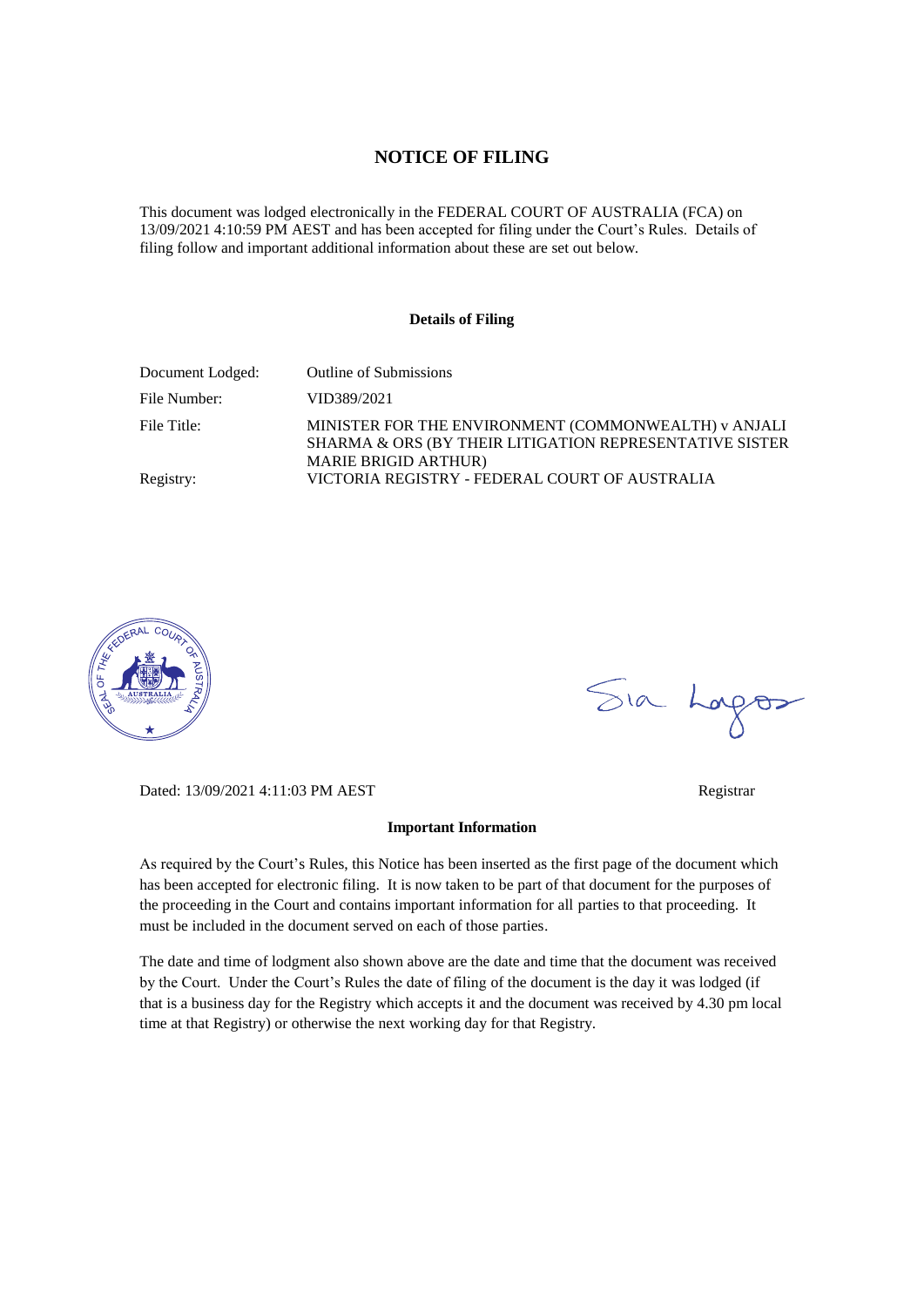#### **NOTICE OF FILING**

This document was lodged electronically in the FEDERAL COURT OF AUSTRALIA (FCA) on 13/09/2021 4:10:59 PM AEST and has been accepted for filing under the Court's Rules. Details of filing follow and important additional information about these are set out below.

#### **Details of Filing**

| Document Lodged: | <b>Outline of Submissions</b>                                                                                                                  |
|------------------|------------------------------------------------------------------------------------------------------------------------------------------------|
| File Number:     | VID389/2021                                                                                                                                    |
| File Title:      | MINISTER FOR THE ENVIRONMENT (COMMONWEALTH) v ANJALI<br>SHARMA & ORS (BY THEIR LITIGATION REPRESENTATIVE SISTER<br><b>MARIE BRIGID ARTHUR)</b> |
| Registry:        | VICTORIA REGISTRY - FEDERAL COURT OF AUSTRALIA                                                                                                 |



Sia Lorgos

Dated: 13/09/2021 4:11:03 PM AEST Registrar

#### **Important Information**

As required by the Court's Rules, this Notice has been inserted as the first page of the document which has been accepted for electronic filing. It is now taken to be part of that document for the purposes of the proceeding in the Court and contains important information for all parties to that proceeding. It must be included in the document served on each of those parties.

The date and time of lodgment also shown above are the date and time that the document was received by the Court. Under the Court's Rules the date of filing of the document is the day it was lodged (if that is a business day for the Registry which accepts it and the document was received by 4.30 pm local time at that Registry) or otherwise the next working day for that Registry.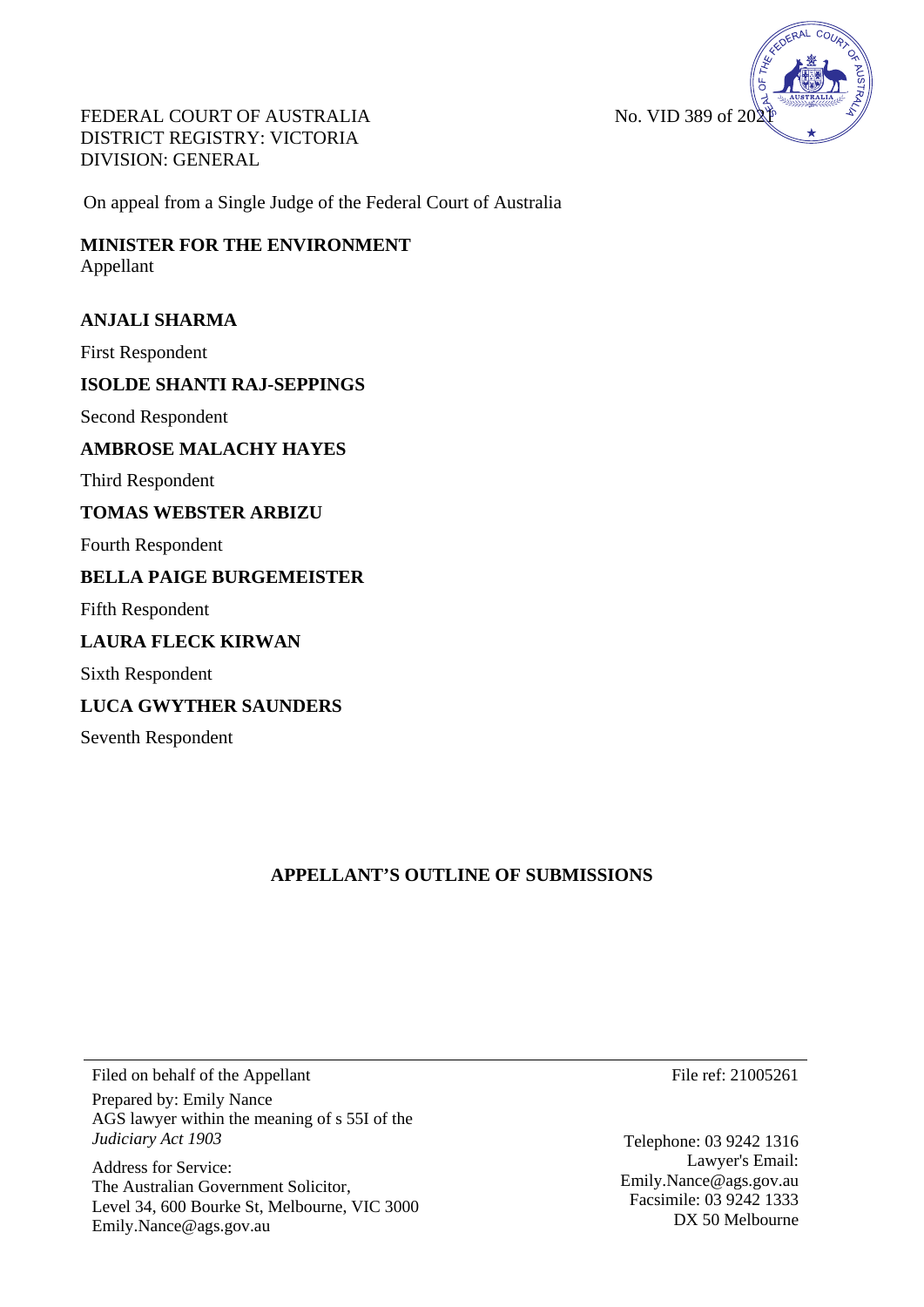

FEDERAL COURT OF AUSTRALIA DISTRICT REGISTRY: VICTORIA DIVISION: GENERAL

On appeal from a Single Judge of the Federal Court of Australia

# **MINISTER FOR THE ENVIRONMENT**  Appellant

# **ANJALI SHARMA**

First Respondent

# **ISOLDE SHANTI RAJ-SEPPINGS**

Second Respondent

## **AMBROSE MALACHY HAYES**

Third Respondent

# **TOMAS WEBSTER ARBIZU**

Fourth Respondent

# **BELLA PAIGE BURGEMEISTER**

Fifth Respondent

# **LAURA FLECK KIRWAN**

Sixth Respondent

# **LUCA GWYTHER SAUNDERS**

Seventh Respondent

# **APPELLANT'S OUTLINE OF SUBMISSIONS**

Filed on behalf of the Appellant Prepared by: Emily Nance AGS lawyer within the meaning of s 55I of the *Judiciary Act 1903*

Address for Service: The Australian Government Solicitor, Level 34, 600 Bourke St, Melbourne, VIC 3000 Emily.Nance@ags.gov.au

File ref: 21005261

Telephone: 03 9242 1316 Lawyer's Email: Emily.Nance@ags.gov.au Facsimile: 03 9242 1333 DX 50 Melbourne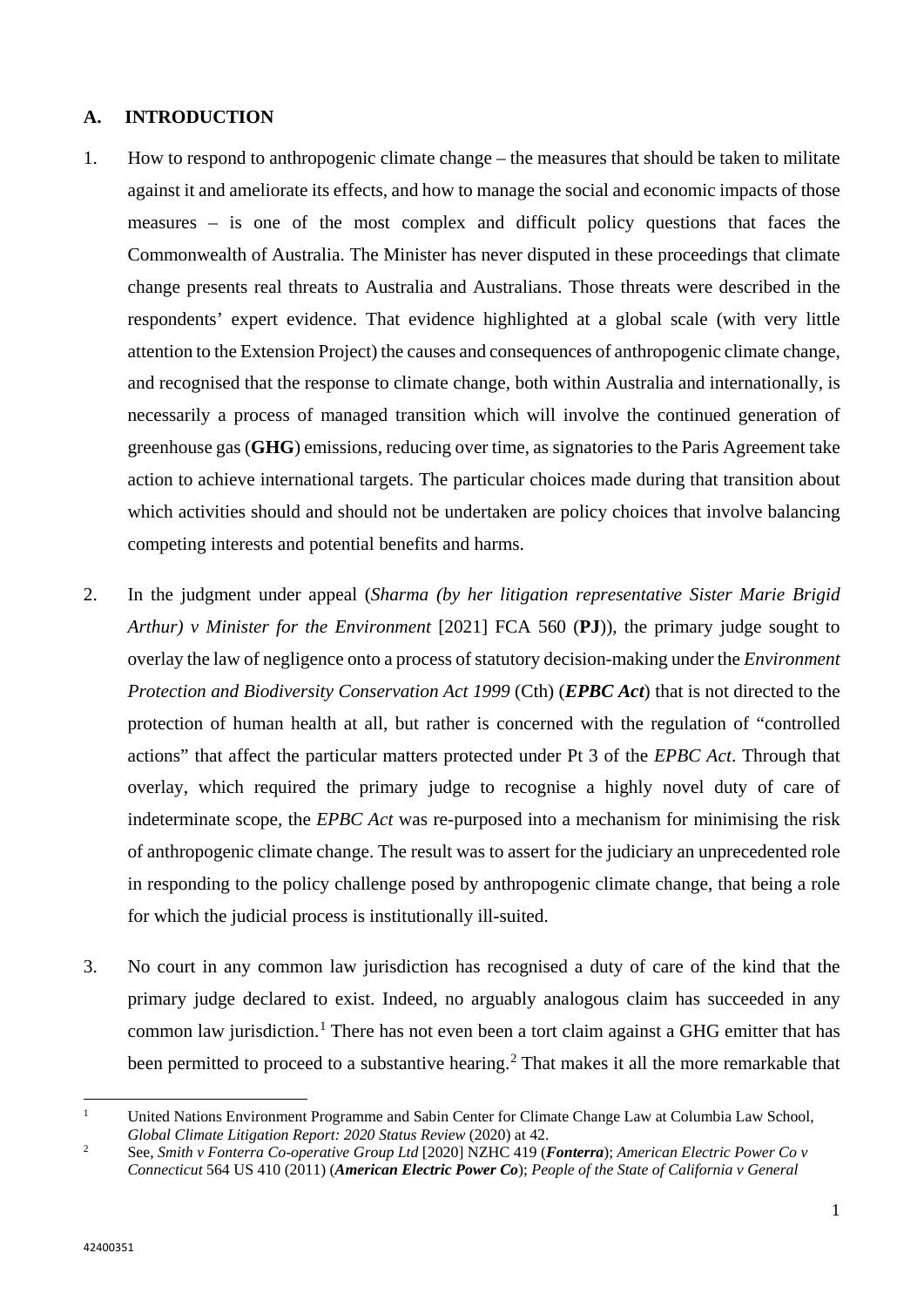# **A. INTRODUCTION**

- 1. How to respond to anthropogenic climate change the measures that should be taken to militate against it and ameliorate its effects, and how to manage the social and economic impacts of those measures – is one of the most complex and difficult policy questions that faces the Commonwealth of Australia. The Minister has never disputed in these proceedings that climate change presents real threats to Australia and Australians. Those threats were described in the respondents' expert evidence. That evidence highlighted at a global scale (with very little attention to the Extension Project) the causes and consequences of anthropogenic climate change, and recognised that the response to climate change, both within Australia and internationally, is necessarily a process of managed transition which will involve the continued generation of greenhouse gas (**GHG**) emissions, reducing over time, as signatories to the Paris Agreement take action to achieve international targets. The particular choices made during that transition about which activities should and should not be undertaken are policy choices that involve balancing competing interests and potential benefits and harms.
- 2. In the judgment under appeal (*Sharma (by her litigation representative Sister Marie Brigid Arthur) v Minister for the Environment* [2021] FCA 560 (**PJ**)), the primary judge sought to overlay the law of negligence onto a process of statutory decision-making under the *Environment Protection and Biodiversity Conservation Act 1999* (Cth) (*EPBC Act*) that is not directed to the protection of human health at all, but rather is concerned with the regulation of "controlled actions" that affect the particular matters protected under Pt 3 of the *EPBC Act*. Through that overlay, which required the primary judge to recognise a highly novel duty of care of indeterminate scope, the *EPBC Act* was re-purposed into a mechanism for minimising the risk of anthropogenic climate change. The result was to assert for the judiciary an unprecedented role in responding to the policy challenge posed by anthropogenic climate change, that being a role for which the judicial process is institutionally ill-suited.
- 3. No court in any common law jurisdiction has recognised a duty of care of the kind that the primary judge declared to exist. Indeed, no arguably analogous claim has succeeded in any common law jurisdiction.<sup>[1](#page-2-0)</sup> There has not even been a tort claim against a GHG emitter that has been permitted to proceed to a substantive hearing.<sup>[2](#page-2-1)</sup> That makes it all the more remarkable that

<span id="page-2-0"></span> $\mathbf{1}$ <sup>1</sup> United Nations Environment Programme and Sabin Center for Climate Change Law at Columbia Law School, *Global Climate Litigation Report: 2020 Status Review* (2020) at 42.

<span id="page-2-1"></span><sup>2</sup> See, *Smith v Fonterra Co-operative Group Ltd* [2020] NZHC 419 (*Fonterra*); *American Electric Power Co v Connecticut* 564 US 410 (2011) (*American Electric Power Co*); *People of the State of California v General*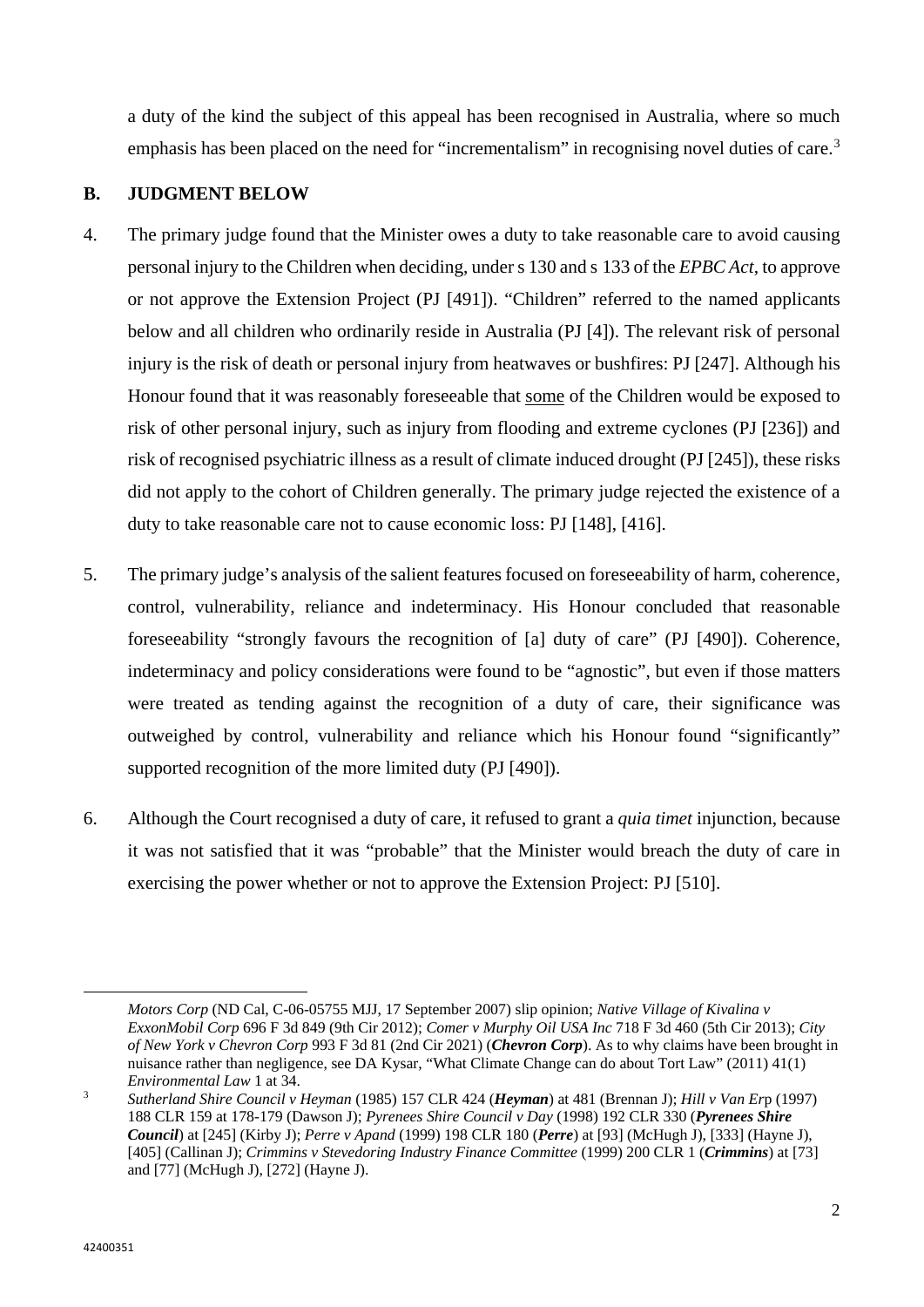a duty of the kind the subject of this appeal has been recognised in Australia, where so much emphasis has been placed on the need for "incrementalism" in recognising novel duties of care.<sup>[3](#page-3-0)</sup>

# **B. JUDGMENT BELOW**

- 4. The primary judge found that the Minister owes a duty to take reasonable care to avoid causing personal injury to the Children when deciding, under s 130 and s 133 of the *EPBC Act*, to approve or not approve the Extension Project (PJ [491]). "Children" referred to the named applicants below and all children who ordinarily reside in Australia (PJ [4]). The relevant risk of personal injury is the risk of death or personal injury from heatwaves or bushfires: PJ [247]. Although his Honour found that it was reasonably foreseeable that some of the Children would be exposed to risk of other personal injury, such as injury from flooding and extreme cyclones (PJ [236]) and risk of recognised psychiatric illness as a result of climate induced drought (PJ [245]), these risks did not apply to the cohort of Children generally. The primary judge rejected the existence of a duty to take reasonable care not to cause economic loss: PJ [148], [416].
- 5. The primary judge's analysis of the salient features focused on foreseeability of harm, coherence, control, vulnerability, reliance and indeterminacy. His Honour concluded that reasonable foreseeability "strongly favours the recognition of [a] duty of care" (PJ [490]). Coherence, indeterminacy and policy considerations were found to be "agnostic", but even if those matters were treated as tending against the recognition of a duty of care, their significance was outweighed by control, vulnerability and reliance which his Honour found "significantly" supported recognition of the more limited duty (PJ [490]).
- 6. Although the Court recognised a duty of care, it refused to grant a *quia timet* injunction, because it was not satisfied that it was "probable" that the Minister would breach the duty of care in exercising the power whether or not to approve the Extension Project: PJ [510].

 $\overline{a}$ 

*Motors Corp* (ND Cal, C-06-05755 MJJ, 17 September 2007) slip opinion; *Native Village of Kivalina v ExxonMobil Corp* 696 F 3d 849 (9th Cir 2012); *Comer v Murphy Oil USA Inc* 718 F 3d 460 (5th Cir 2013); *City of New York v Chevron Corp* 993 F 3d 81 (2nd Cir 2021) (*Chevron Corp*). As to why claims have been brought in nuisance rather than negligence, see DA Kysar, "What Climate Change can do about Tort Law" (2011) 41(1) *Environmental Law* 1 at 34.

<span id="page-3-0"></span><sup>3</sup> *Sutherland Shire Council v Heyman* (1985) 157 CLR 424 (*Heyman*) at 481 (Brennan J); *Hill v Van Er*p (1997) 188 CLR 159 at 178-179 (Dawson J); *Pyrenees Shire Council v Day* (1998) 192 CLR 330 (*Pyrenees Shire Council*) at [245] (Kirby J); *Perre v Apand* (1999) 198 CLR 180 (*Perre*) at [93] (McHugh J), [333] (Hayne J), [405] (Callinan J); *Crimmins v Stevedoring Industry Finance Committee* (1999) 200 CLR 1 (*Crimmins*) at [73] and [77] (McHugh J), [272] (Hayne J).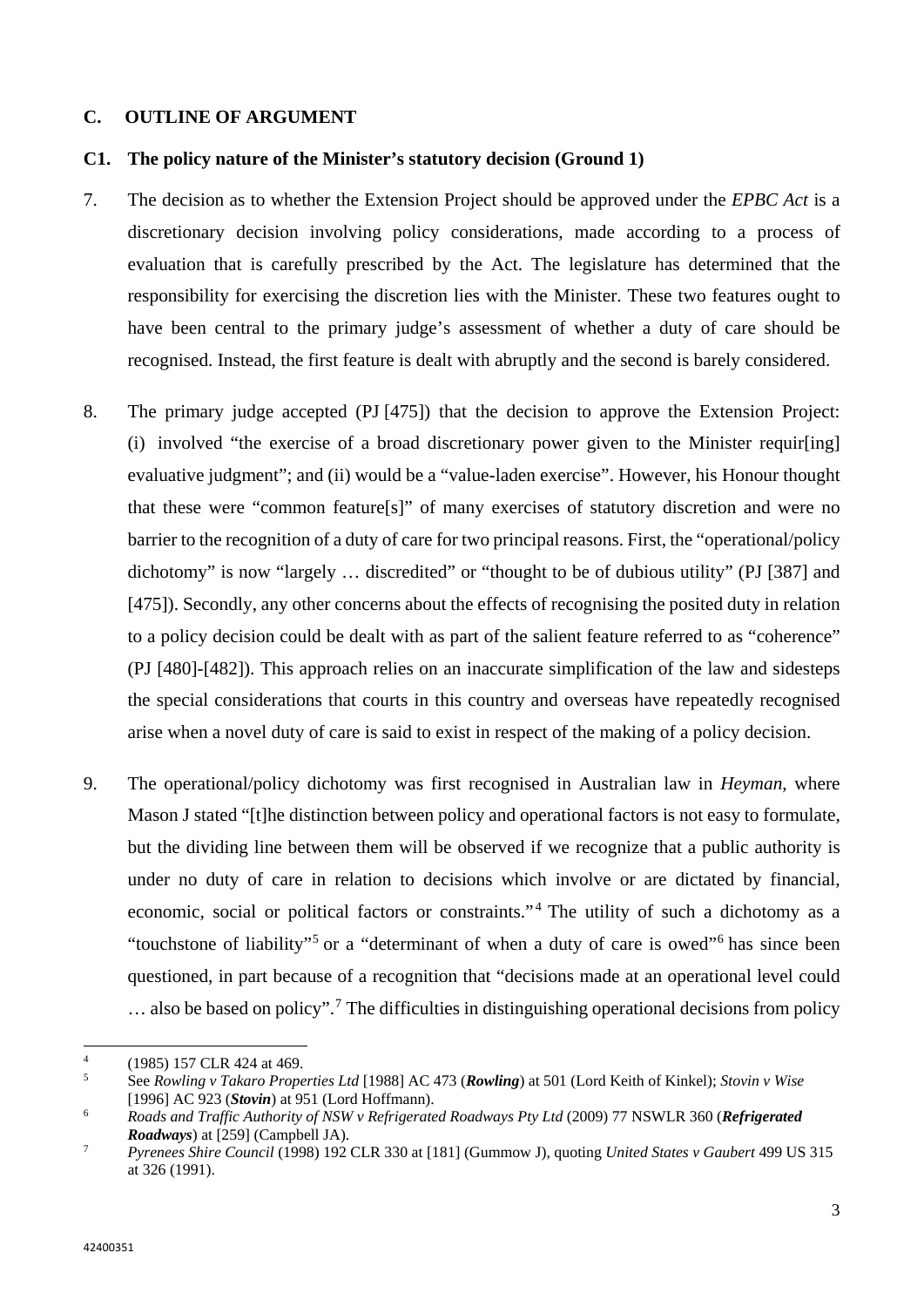## **C. OUTLINE OF ARGUMENT**

### **C1. The policy nature of the Minister's statutory decision (Ground 1)**

- 7. The decision as to whether the Extension Project should be approved under the *EPBC Act* is a discretionary decision involving policy considerations, made according to a process of evaluation that is carefully prescribed by the Act. The legislature has determined that the responsibility for exercising the discretion lies with the Minister. These two features ought to have been central to the primary judge's assessment of whether a duty of care should be recognised. Instead, the first feature is dealt with abruptly and the second is barely considered.
- 8. The primary judge accepted (PJ [475]) that the decision to approve the Extension Project: (i) involved "the exercise of a broad discretionary power given to the Minister requir[ing] evaluative judgment"; and (ii) would be a "value-laden exercise". However, his Honour thought that these were "common feature[s]" of many exercises of statutory discretion and were no barrier to the recognition of a duty of care for two principal reasons. First, the "operational/policy dichotomy" is now "largely … discredited" or "thought to be of dubious utility" (PJ [387] and [475]). Secondly, any other concerns about the effects of recognising the posited duty in relation to a policy decision could be dealt with as part of the salient feature referred to as "coherence" (PJ [480]-[482]). This approach relies on an inaccurate simplification of the law and sidesteps the special considerations that courts in this country and overseas have repeatedly recognised arise when a novel duty of care is said to exist in respect of the making of a policy decision.
- 9. The operational/policy dichotomy was first recognised in Australian law in *Heyman*, where Mason J stated "[t]he distinction between policy and operational factors is not easy to formulate, but the dividing line between them will be observed if we recognize that a public authority is under no duty of care in relation to decisions which involve or are dictated by financial, economic, social or political factors or constraints."<sup>[4](#page-4-0)</sup> The utility of such a dichotomy as a "touchstone of liability"[5](#page-4-1) or a "determinant of when a duty of care is owed"[6](#page-4-2) has since been questioned, in part because of a recognition that "decisions made at an operational level could  $\ldots$  also be based on policy".<sup>[7](#page-4-3)</sup> The difficulties in distinguishing operational decisions from policy

<span id="page-4-0"></span> $\overline{4}$  $^{4}$  (1985) 157 CLR 424 at 469.

<span id="page-4-1"></span><sup>5</sup> See *Rowling v Takaro Properties Ltd* [1988] AC 473 (*Rowling*) at 501 (Lord Keith of Kinkel); *Stovin v Wise* [1996] AC 923 (*Stovin*) at 951 (Lord Hoffmann).

<span id="page-4-2"></span><sup>6</sup> *Roads and Traffic Authority of NSW v Refrigerated Roadways Pty Ltd* (2009) 77 NSWLR 360 (*Refrigerated Roadways*) at [259] (Campbell JA).

<span id="page-4-3"></span><sup>7</sup> *Pyrenees Shire Council* (1998) 192 CLR 330 at [181] (Gummow J), quoting *United States v Gaubert* 499 US 315 at 326 (1991).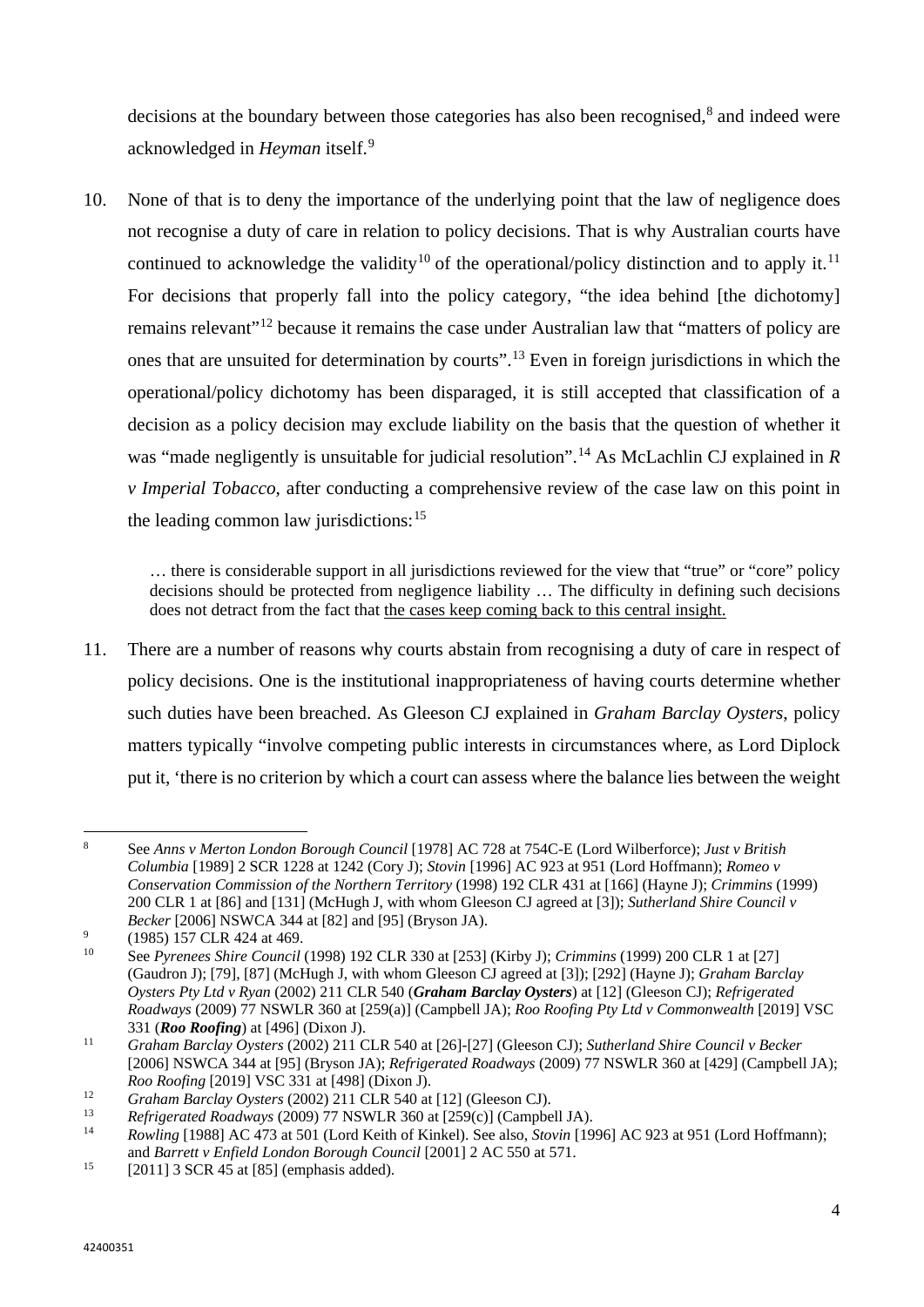decisions at the boundary between those categories has also been recognised,<sup>[8](#page-5-0)</sup> and indeed were acknowledged in *Heyman* itself. [9](#page-5-1)

10. None of that is to deny the importance of the underlying point that the law of negligence does not recognise a duty of care in relation to policy decisions. That is why Australian courts have continued to acknowledge the validity<sup>[10](#page-5-2)</sup> of the operational/policy distinction and to apply it.<sup>[11](#page-5-3)</sup> For decisions that properly fall into the policy category, "the idea behind [the dichotomy] remains relevant"<sup>[12](#page-5-4)</sup> because it remains the case under Australian law that "matters of policy are ones that are unsuited for determination by courts".[13](#page-5-5) Even in foreign jurisdictions in which the operational/policy dichotomy has been disparaged, it is still accepted that classification of a decision as a policy decision may exclude liability on the basis that the question of whether it was "made negligently is unsuitable for judicial resolution".<sup>[14](#page-5-6)</sup> As McLachlin CJ explained in *R v Imperial Tobacco*, after conducting a comprehensive review of the case law on this point in the leading common law jurisdictions:  $15$ 

… there is considerable support in all jurisdictions reviewed for the view that "true" or "core" policy decisions should be protected from negligence liability … The difficulty in defining such decisions does not detract from the fact that the cases keep coming back to this central insight.

11. There are a number of reasons why courts abstain from recognising a duty of care in respect of policy decisions. One is the institutional inappropriateness of having courts determine whether such duties have been breached. As Gleeson CJ explained in *Graham Barclay Oysters*, policy matters typically "involve competing public interests in circumstances where, as Lord Diplock put it, 'there is no criterion by which a court can assess where the balance lies between the weight

 $\overline{a}$ 

<span id="page-5-0"></span><sup>8</sup> See *Anns v Merton London Borough Council* [1978] AC 728 at 754C-E (Lord Wilberforce); *Just v British Columbia* [1989] 2 SCR 1228 at 1242 (Cory J); *Stovin* [1996] AC 923 at 951 (Lord Hoffmann); *Romeo v Conservation Commission of the Northern Territory* (1998) 192 CLR 431 at [166] (Hayne J); *Crimmins* (1999) 200 CLR 1 at [86] and [131] (McHugh J, with whom Gleeson CJ agreed at [3]); *Sutherland Shire Council v Becker* [2006] NSWCA 344 at [82] and [95] (Bryson JA).

<span id="page-5-1"></span> $^{9}$  (1985) 157 CLR 424 at 469.

<span id="page-5-2"></span><sup>10</sup> See *Pyrenees Shire Council* (1998) 192 CLR 330 at [253] (Kirby J); *Crimmins* (1999) 200 CLR 1 at [27] (Gaudron J); [79], [87] (McHugh J, with whom Gleeson CJ agreed at [3]); [292] (Hayne J); *Graham Barclay Oysters Pty Ltd v Ryan* (2002) 211 CLR 540 (*Graham Barclay Oysters*) at [12] (Gleeson CJ); *Refrigerated Roadways* (2009) 77 NSWLR 360 at [259(a)] (Campbell JA); *Roo Roofing Pty Ltd v Commonwealth* [2019] VSC 331 (*Roo Roofing*) at [496] (Dixon J).

<span id="page-5-3"></span><sup>11</sup> *Graham Barclay Oysters* (2002) 211 CLR 540 at [26]-[27] (Gleeson CJ); *Sutherland Shire Council v Becker*  [2006] NSWCA 344 at [95] (Bryson JA); *Refrigerated Roadways* (2009) 77 NSWLR 360 at [429] (Campbell JA); *Roo Roofing* [2019] VSC 331 at [498] (Dixon J).

<span id="page-5-4"></span><sup>12</sup> *Graham Barclay Oysters* (2002) 211 CLR 540 at [12] (Gleeson CJ).

<span id="page-5-5"></span><sup>13</sup> *Refrigerated Roadways* (2009) 77 NSWLR 360 at [259(c)] (Campbell JA).

<span id="page-5-6"></span><sup>14</sup> *Rowling* [1988] AC 473 at 501 (Lord Keith of Kinkel). See also, *Stovin* [1996] AC 923 at 951 (Lord Hoffmann); and *Barrett v Enfield London Borough Council* [2001] 2 AC 550 at 571.

<span id="page-5-7"></span><sup>&</sup>lt;sup>15</sup> [2011] 3 SCR 45 at [85] (emphasis added).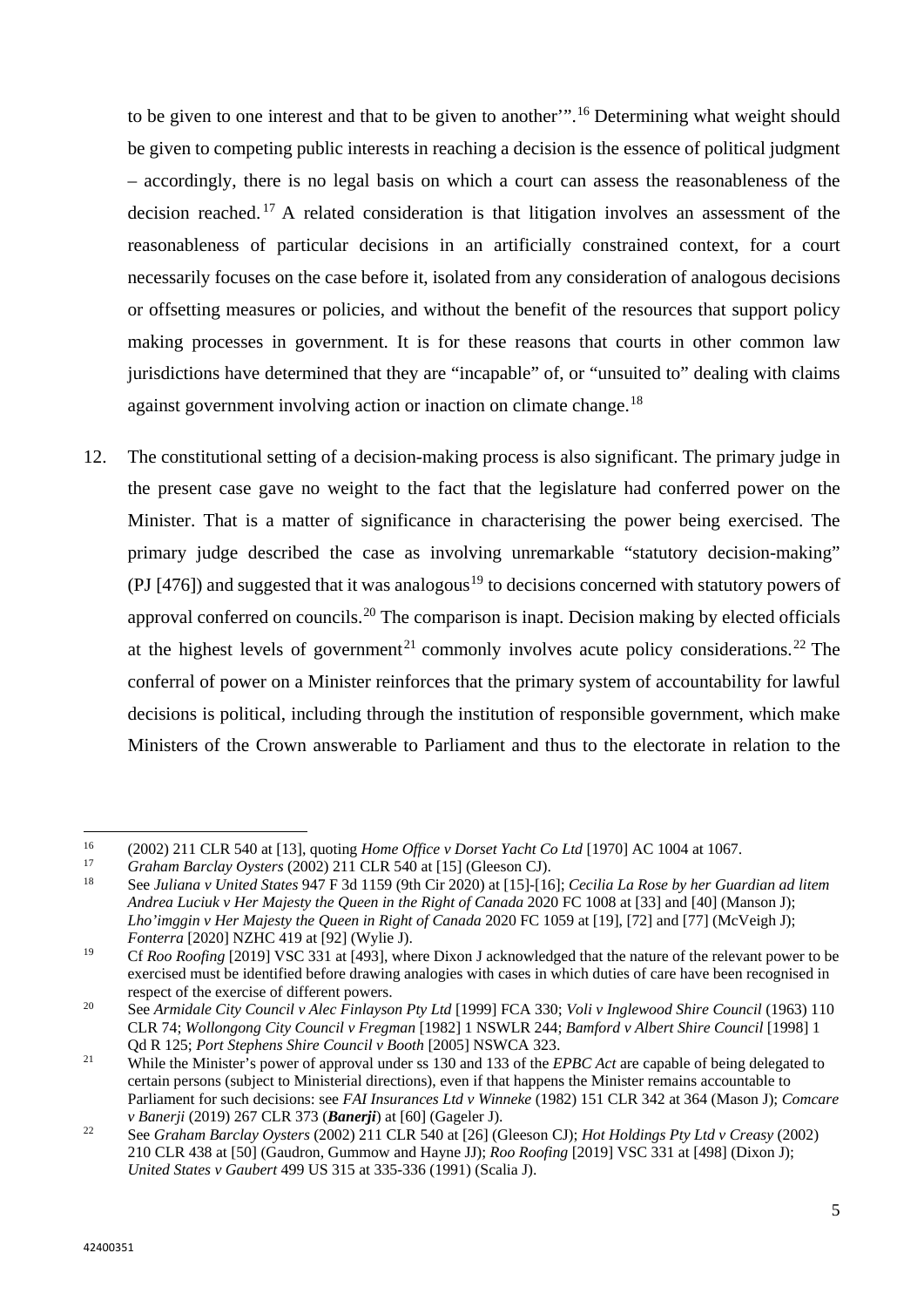to be given to one interest and that to be given to another'".[16](#page-6-0) Determining what weight should be given to competing public interests in reaching a decision is the essence of political judgment – accordingly, there is no legal basis on which a court can assess the reasonableness of the decision reached.<sup>[17](#page-6-1)</sup> A related consideration is that litigation involves an assessment of the reasonableness of particular decisions in an artificially constrained context, for a court necessarily focuses on the case before it, isolated from any consideration of analogous decisions or offsetting measures or policies, and without the benefit of the resources that support policy making processes in government. It is for these reasons that courts in other common law jurisdictions have determined that they are "incapable" of, or "unsuited to" dealing with claims against government involving action or inaction on climate change.<sup>[18](#page-6-2)</sup>

12. The constitutional setting of a decision-making process is also significant. The primary judge in the present case gave no weight to the fact that the legislature had conferred power on the Minister. That is a matter of significance in characterising the power being exercised. The primary judge described the case as involving unremarkable "statutory decision-making" (PJ [476]) and suggested that it was analogous<sup>[19](#page-6-3)</sup> to decisions concerned with statutory powers of approval conferred on councils.<sup>[20](#page-6-4)</sup> The comparison is inapt. Decision making by elected officials at the highest levels of government<sup>[21](#page-6-5)</sup> commonly involves acute policy considerations.<sup>[22](#page-6-6)</sup> The conferral of power on a Minister reinforces that the primary system of accountability for lawful decisions is political, including through the institution of responsible government, which make Ministers of the Crown answerable to Parliament and thus to the electorate in relation to the

<span id="page-6-0"></span> $16$ <sup>16</sup> (2002) 211 CLR 540 at [13], quoting *Home Office v Dorset Yacht Co Ltd* [1970] AC 1004 at 1067.

<span id="page-6-1"></span><sup>17</sup> *Graham Barclay Oysters* (2002) 211 CLR 540 at [15] (Gleeson CJ).

<span id="page-6-2"></span><sup>18</sup> See *Juliana v United States* 947 F 3d 1159 (9th Cir 2020) at [15]-[16]; *Cecilia La Rose by her Guardian ad litem Andrea Luciuk v Her Majesty the Queen in the Right of Canada* 2020 FC 1008 at [33] and [40] (Manson J); *Lho'imggin v Her Majesty the Queen in Right of Canada* 2020 FC 1059 at [19], [72] and [77] (McVeigh J); *Fonterra* [2020] NZHC 419 at [92] (Wylie J).

<span id="page-6-3"></span><sup>&</sup>lt;sup>19</sup> Cf *Roo Roofing* [2019] VSC 331 at [493], where Dixon J acknowledged that the nature of the relevant power to be exercised must be identified before drawing analogies with cases in which duties of care have been recognised in respect of the exercise of different powers.

<span id="page-6-4"></span><sup>20</sup> See *Armidale City Council v Alec Finlayson Pty Ltd* [1999] FCA 330; *Voli v Inglewood Shire Council* (1963) 110 CLR 74; *Wollongong City Council v Fregman* [1982] 1 NSWLR 244; *Bamford v Albert Shire Council* [1998] 1 Qd R 125; *Port Stephens Shire Council v Booth* [2005] NSWCA 323.

<span id="page-6-5"></span><sup>&</sup>lt;sup>21</sup> While the Minister's power of approval under ss 130 and 133 of the *EPBC Act* are capable of being delegated to certain persons (subject to Ministerial directions), even if that happens the Minister remains accountable to Parliament for such decisions: see *FAI Insurances Ltd v Winneke* (1982) 151 CLR 342 at 364 (Mason J); *Comcare v Banerji* (2019) 267 CLR 373 (*Banerji*) at [60] (Gageler J).

<span id="page-6-6"></span><sup>22</sup> See *Graham Barclay Oysters* (2002) 211 CLR 540 at [26] (Gleeson CJ); *Hot Holdings Pty Ltd v Creasy* (2002) 210 CLR 438 at [50] (Gaudron, Gummow and Hayne JJ); *Roo Roofing* [2019] VSC 331 at [498] (Dixon J); *United States v Gaubert* 499 US 315 at 335-336 (1991) (Scalia J).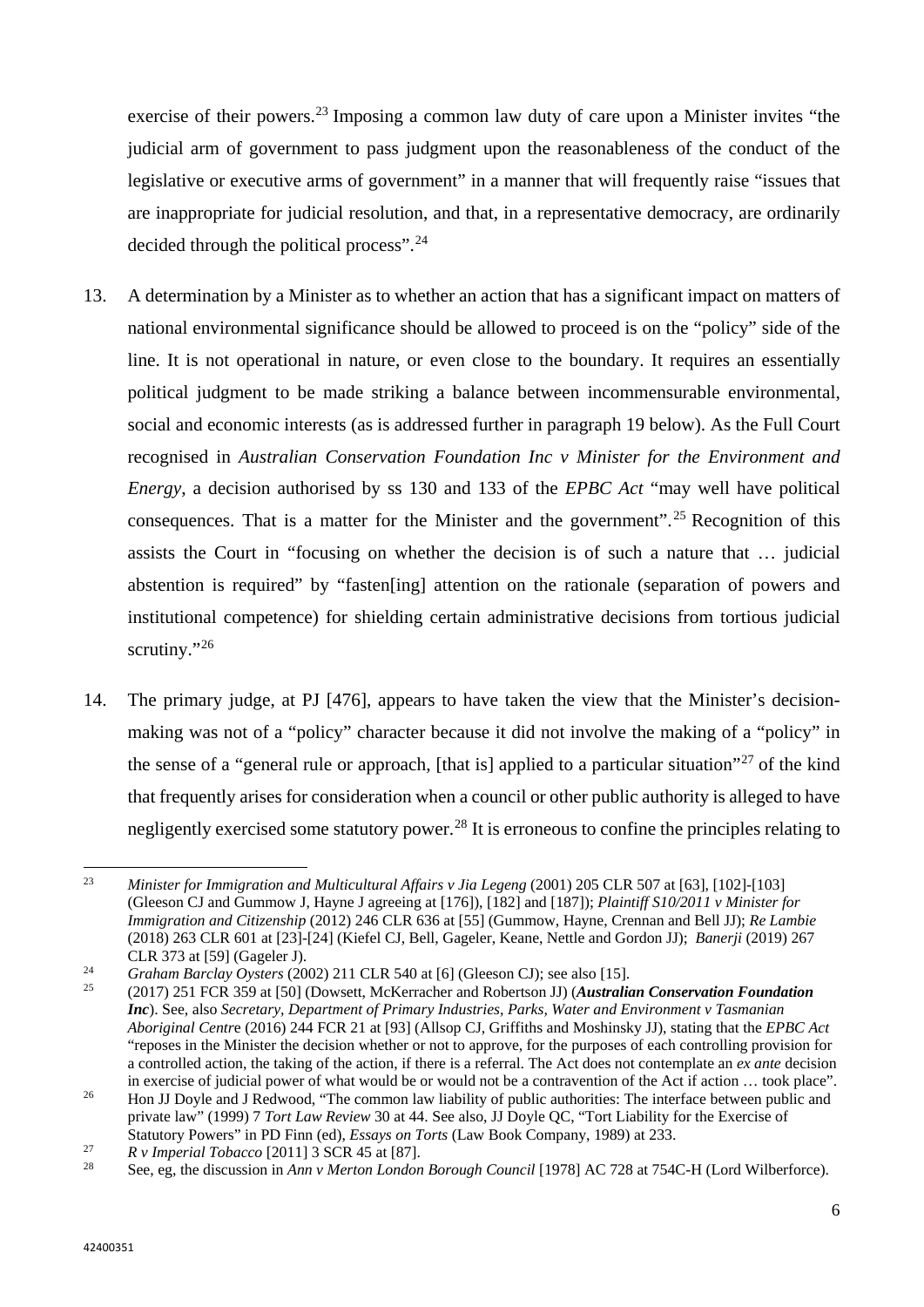exercise of their powers.<sup>[23](#page-7-0)</sup> Imposing a common law duty of care upon a Minister invites "the judicial arm of government to pass judgment upon the reasonableness of the conduct of the legislative or executive arms of government" in a manner that will frequently raise "issues that are inappropriate for judicial resolution, and that, in a representative democracy, are ordinarily decided through the political process".<sup>[24](#page-7-1)</sup>

- 13. A determination by a Minister as to whether an action that has a significant impact on matters of national environmental significance should be allowed to proceed is on the "policy" side of the line. It is not operational in nature, or even close to the boundary. It requires an essentially political judgment to be made striking a balance between incommensurable environmental, social and economic interests (as is addressed further in paragraph [19](#page-9-0) below). As the Full Court recognised in *Australian Conservation Foundation Inc v Minister for the Environment and Energy*, a decision authorised by ss 130 and 133 of the *EPBC Act* "may well have political consequences. That is a matter for the Minister and the government".<sup>[25](#page-7-2)</sup> Recognition of this assists the Court in "focusing on whether the decision is of such a nature that … judicial abstention is required" by "fasten[ing] attention on the rationale (separation of powers and institutional competence) for shielding certain administrative decisions from tortious judicial scrutiny."<sup>26</sup>
- 14. The primary judge, at PJ [476], appears to have taken the view that the Minister's decisionmaking was not of a "policy" character because it did not involve the making of a "policy" in the sense of a "general rule or approach, [that is] applied to a particular situation"<sup>[27](#page-7-4)</sup> of the kind that frequently arises for consideration when a council or other public authority is alleged to have negligently exercised some statutory power.<sup>[28](#page-7-5)</sup> It is erroneous to confine the principles relating to

<span id="page-7-0"></span> $23$ <sup>23</sup> *Minister for Immigration and Multicultural Affairs v Jia Legeng* (2001) 205 CLR 507 at [63], [102]-[103] (Gleeson CJ and Gummow J, Hayne J agreeing at [176]), [182] and [187]); *Plaintiff S10/2011 v Minister for Immigration and Citizenship* (2012) 246 CLR 636 at [55] (Gummow, Hayne, Crennan and Bell JJ); *Re Lambie*  (2018) 263 CLR 601 at [23]-[24] (Kiefel CJ, Bell, Gageler, Keane, Nettle and Gordon JJ); *Banerji* (2019) 267

CLR 373 at [59] (Gageler J). 24 *Graham Barclay Oysters* (2002) 211 CLR 540 at [6] (Gleeson CJ); see also [15].

<span id="page-7-2"></span><span id="page-7-1"></span><sup>25</sup> (2017) 251 FCR 359 at [50] (Dowsett, McKerracher and Robertson JJ) (*Australian Conservation Foundation Inc*). See, also *Secretary, Department of Primary Industries, Parks, Water and Environment v Tasmanian Aboriginal Centr*e (2016) 244 FCR 21 at [93] (Allsop CJ, Griffiths and Moshinsky JJ), stating that the *EPBC Act* "reposes in the Minister the decision whether or not to approve, for the purposes of each controlling provision for a controlled action, the taking of the action, if there is a referral. The Act does not contemplate an *ex ante* decision in exercise of judicial power of what would be or would not be a contravention of the Act if action … took place".

<span id="page-7-3"></span><sup>&</sup>lt;sup>26</sup> Hon JJ Doyle and J Redwood, "The common law liability of public authorities: The interface between public and private law" (1999) 7 *Tort Law Review* 30 at 44. See also, JJ Doyle QC, "Tort Liability for the Exercise of Statutory Powers" in PD Finn (ed), *Essays on Torts* (Law Book Company, 1989) at 233.

<span id="page-7-4"></span><sup>27</sup> *R v Imperial Tobacco* [2011] 3 SCR 45 at [87].

<span id="page-7-5"></span><sup>28</sup> See, eg, the discussion in *Ann v Merton London Borough Council* [1978] AC 728 at 754C-H (Lord Wilberforce).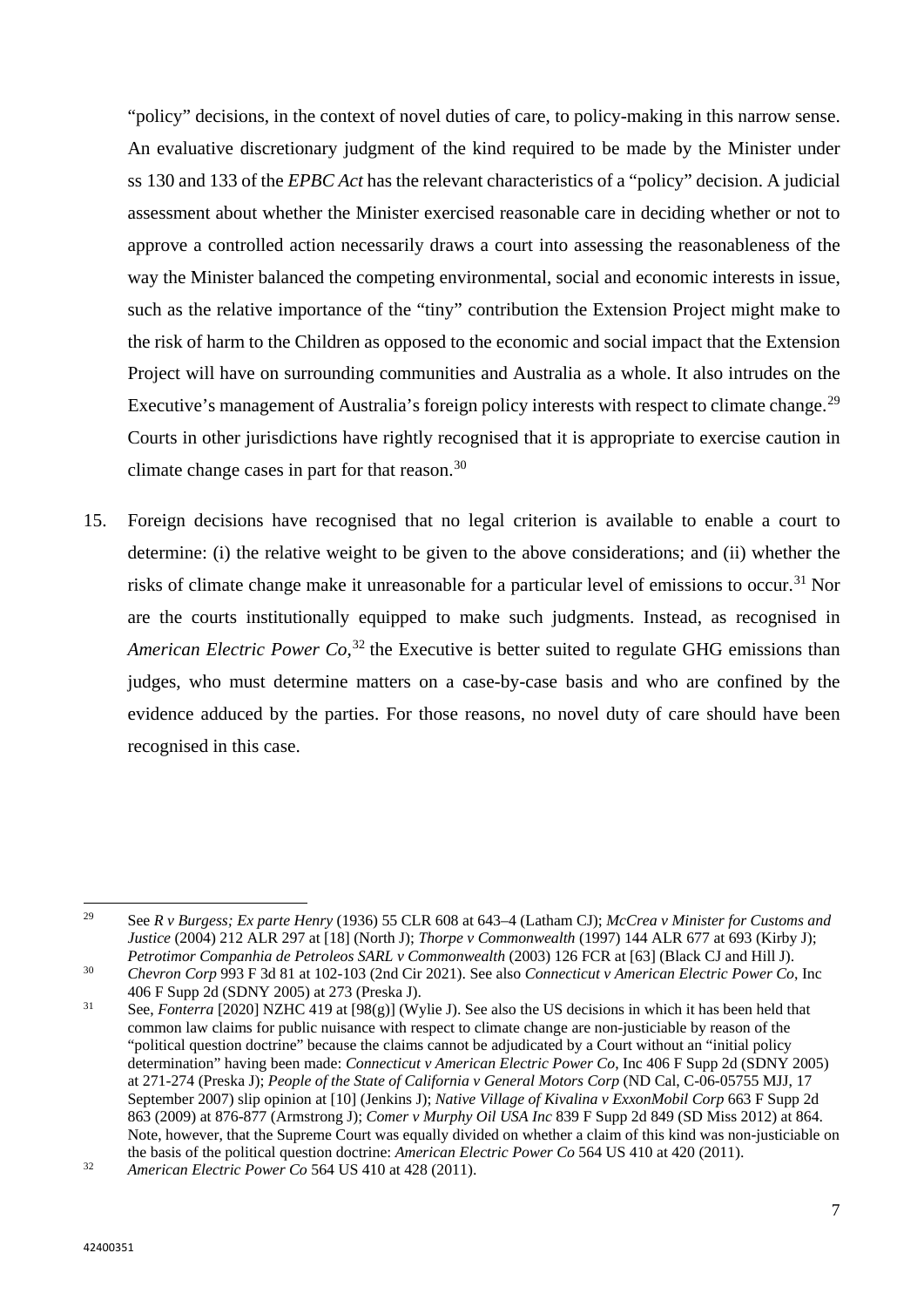"policy" decisions, in the context of novel duties of care, to policy-making in this narrow sense. An evaluative discretionary judgment of the kind required to be made by the Minister under ss 130 and 133 of the *EPBC Act* has the relevant characteristics of a "policy" decision. A judicial assessment about whether the Minister exercised reasonable care in deciding whether or not to approve a controlled action necessarily draws a court into assessing the reasonableness of the way the Minister balanced the competing environmental, social and economic interests in issue, such as the relative importance of the "tiny" contribution the Extension Project might make to the risk of harm to the Children as opposed to the economic and social impact that the Extension Project will have on surrounding communities and Australia as a whole. It also intrudes on the Executive's management of Australia's foreign policy interests with respect to climate change.<sup>[29](#page-8-0)</sup> Courts in other jurisdictions have rightly recognised that it is appropriate to exercise caution in climate change cases in part for that reason.<sup>[30](#page-8-1)</sup>

15. Foreign decisions have recognised that no legal criterion is available to enable a court to determine: (i) the relative weight to be given to the above considerations; and (ii) whether the risks of climate change make it unreasonable for a particular level of emissions to occur.[31](#page-8-2) Nor are the courts institutionally equipped to make such judgments. Instead, as recognised in *American Electric Power Co*, [32](#page-8-3) the Executive is better suited to regulate GHG emissions than judges, who must determine matters on a case-by-case basis and who are confined by the evidence adduced by the parties. For those reasons, no novel duty of care should have been recognised in this case.

<span id="page-8-0"></span> $\overline{a}$ <sup>29</sup> See *R v Burgess; Ex parte Henry* (1936) 55 CLR 608 at 643–4 (Latham CJ); *McCrea v Minister for Customs and Justice* (2004) 212 ALR 297 at [18] (North J); *Thorpe v Commonwealth* (1997) 144 ALR 677 at 693 (Kirby J); *Petrotimor Companhia de Petroleos SARL v Commonwealth* (2003) 126 FCR at [63] (Black CJ and Hill J).

<span id="page-8-1"></span><sup>30</sup> *Chevron Corp* 993 F 3d 81 at 102-103 (2nd Cir 2021). See also *Connecticut v American Electric Power Co*, Inc 406 F Supp 2d (SDNY 2005) at 273 (Preska J).

<span id="page-8-2"></span><sup>31</sup> See, *Fonterra* [2020] NZHC 419 at [98(g)] (Wylie J). See also the US decisions in which it has been held that common law claims for public nuisance with respect to climate change are non-justiciable by reason of the "political question doctrine" because the claims cannot be adjudicated by a Court without an "initial policy determination" having been made: *Connecticut v American Electric Power Co*, Inc 406 F Supp 2d (SDNY 2005) at 271-274 (Preska J); *People of the State of California v General Motors Corp* (ND Cal, C-06-05755 MJJ, 17 September 2007) slip opinion at [10] (Jenkins J); *Native Village of Kivalina v ExxonMobil Corp* 663 F Supp 2d 863 (2009) at 876-877 (Armstrong J); *Comer v Murphy Oil USA Inc* 839 F Supp 2d 849 (SD Miss 2012) at 864. Note, however, that the Supreme Court was equally divided on whether a claim of this kind was non-justiciable on the basis of the political question doctrine: *American Electric Power Co* 564 US 410 at 420 (2011).

<span id="page-8-3"></span><sup>32</sup> *American Electric Power Co* 564 US 410 at 428 (2011).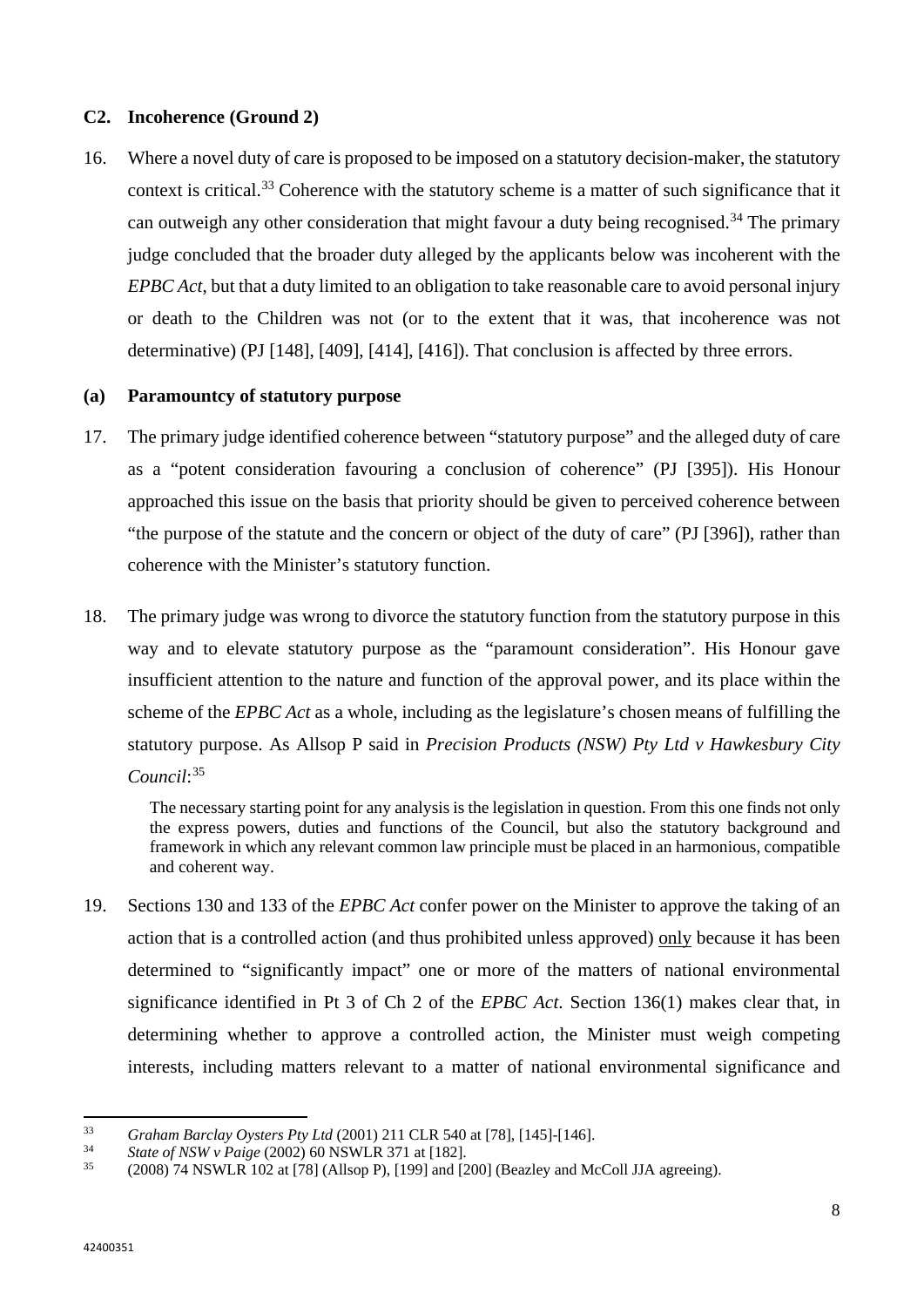## **C2. Incoherence (Ground 2)**

16. Where a novel duty of care is proposed to be imposed on a statutory decision-maker, the statutory context is critical.[33](#page-9-1) Coherence with the statutory scheme is a matter of such significance that it can outweigh any other consideration that might favour a duty being recognised.<sup>[34](#page-9-2)</sup> The primary judge concluded that the broader duty alleged by the applicants below was incoherent with the *EPBC Act*, but that a duty limited to an obligation to take reasonable care to avoid personal injury or death to the Children was not (or to the extent that it was, that incoherence was not determinative) (PJ [148], [409], [414], [416]). That conclusion is affected by three errors.

#### **(a) Paramountcy of statutory purpose**

- 17. The primary judge identified coherence between "statutory purpose" and the alleged duty of care as a "potent consideration favouring a conclusion of coherence" (PJ [395]). His Honour approached this issue on the basis that priority should be given to perceived coherence between "the purpose of the statute and the concern or object of the duty of care" (PJ [396]), rather than coherence with the Minister's statutory function.
- 18. The primary judge was wrong to divorce the statutory function from the statutory purpose in this way and to elevate statutory purpose as the "paramount consideration". His Honour gave insufficient attention to the nature and function of the approval power, and its place within the scheme of the *EPBC Act* as a whole, including as the legislature's chosen means of fulfilling the statutory purpose. As Allsop P said in *Precision Products (NSW) Pty Ltd v Hawkesbury City Council*: [35](#page-9-3)

The necessary starting point for any analysis is the legislation in question. From this one finds not only the express powers, duties and functions of the Council, but also the statutory background and framework in which any relevant common law principle must be placed in an harmonious, compatible and coherent way.

<span id="page-9-0"></span>19. Sections 130 and 133 of the *EPBC Act* confer power on the Minister to approve the taking of an action that is a controlled action (and thus prohibited unless approved) only because it has been determined to "significantly impact" one or more of the matters of national environmental significance identified in Pt 3 of Ch 2 of the *EPBC Act*. Section 136(1) makes clear that, in determining whether to approve a controlled action, the Minister must weigh competing interests, including matters relevant to a matter of national environmental significance and

l

<span id="page-9-1"></span><sup>33</sup> *Graham Barclay Oysters Pty Ltd* (2001) 211 CLR 540 at [78], [145]-[146].

<span id="page-9-2"></span><sup>34</sup> *State of NSW v Paige* (2002) 60 NSWLR 371 at [182].

<span id="page-9-3"></span><sup>35</sup> (2008) 74 NSWLR 102 at [78] (Allsop P), [199] and [200] (Beazley and McColl JJA agreeing).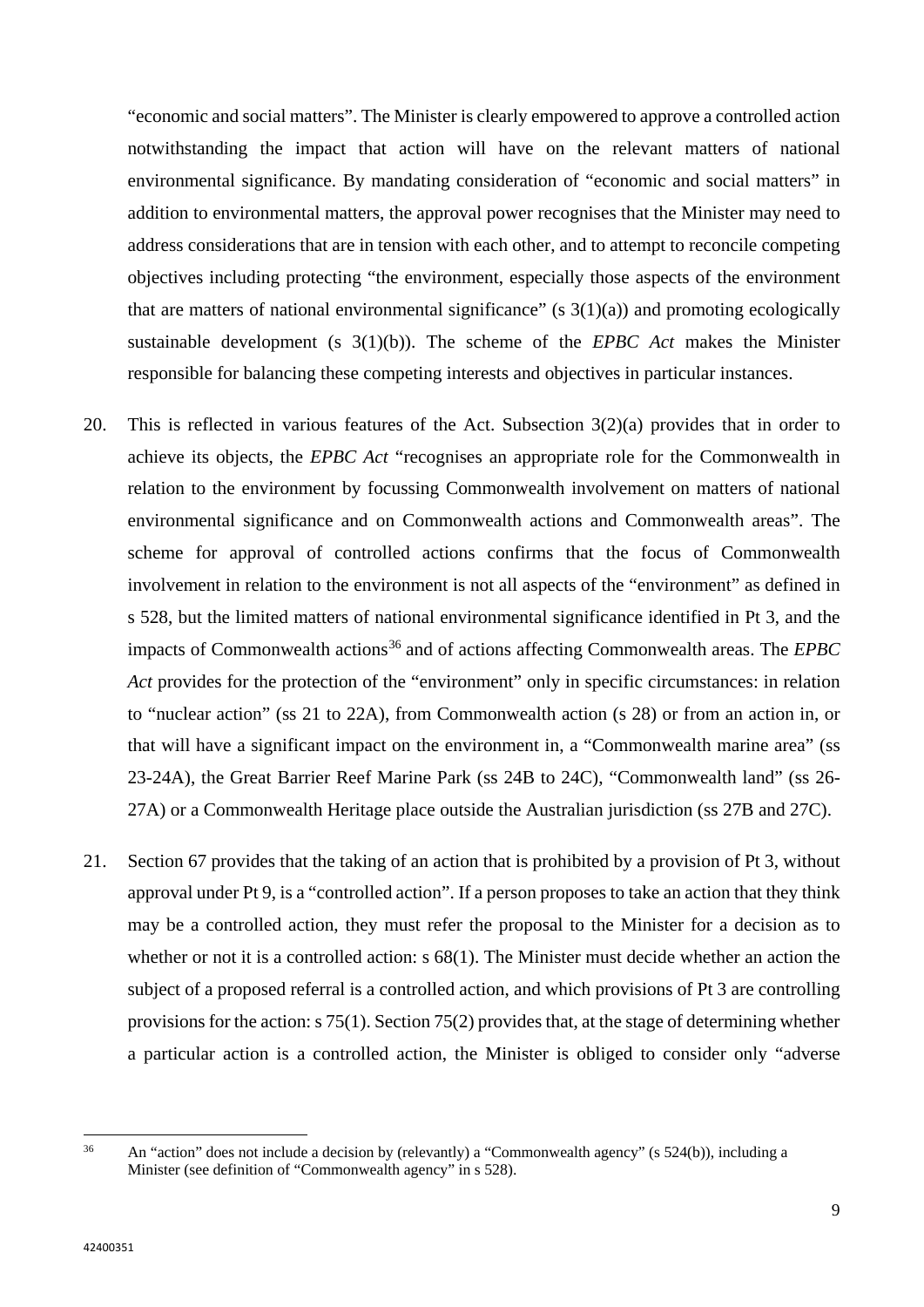"economic and social matters". The Minister is clearly empowered to approve a controlled action notwithstanding the impact that action will have on the relevant matters of national environmental significance. By mandating consideration of "economic and social matters" in addition to environmental matters, the approval power recognises that the Minister may need to address considerations that are in tension with each other, and to attempt to reconcile competing objectives including protecting "the environment, especially those aspects of the environment that are matters of national environmental significance" (s  $3(1)(a)$ ) and promoting ecologically sustainable development (s 3(1)(b)). The scheme of the *EPBC Act* makes the Minister responsible for balancing these competing interests and objectives in particular instances.

- <span id="page-10-1"></span>20. This is reflected in various features of the Act. Subsection 3(2)(a) provides that in order to achieve its objects, the *EPBC Act* "recognises an appropriate role for the Commonwealth in relation to the environment by focussing Commonwealth involvement on matters of national environmental significance and on Commonwealth actions and Commonwealth areas". The scheme for approval of controlled actions confirms that the focus of Commonwealth involvement in relation to the environment is not all aspects of the "environment" as defined in s 528, but the limited matters of national environmental significance identified in Pt 3, and the impacts of Commonwealth actions<sup>[36](#page-10-0)</sup> and of actions affecting Commonwealth areas. The *EPBC* Act provides for the protection of the "environment" only in specific circumstances: in relation to "nuclear action" (ss 21 to 22A), from Commonwealth action (s 28) or from an action in, or that will have a significant impact on the environment in, a "Commonwealth marine area" (ss 23-24A), the Great Barrier Reef Marine Park (ss 24B to 24C), "Commonwealth land" (ss 26- 27A) or a Commonwealth Heritage place outside the Australian jurisdiction (ss 27B and 27C).
- 21. Section 67 provides that the taking of an action that is prohibited by a provision of Pt 3, without approval under Pt 9, is a "controlled action". If a person proposes to take an action that they think may be a controlled action, they must refer the proposal to the Minister for a decision as to whether or not it is a controlled action: s 68(1). The Minister must decide whether an action the subject of a proposed referral is a controlled action, and which provisions of Pt 3 are controlling provisions for the action: s 75(1). Section 75(2) provides that, at the stage of determining whether a particular action is a controlled action, the Minister is obliged to consider only "adverse

<span id="page-10-0"></span> $36$ An "action" does not include a decision by (relevantly) a "Commonwealth agency" (s 524(b)), including a Minister (see definition of "Commonwealth agency" in s 528).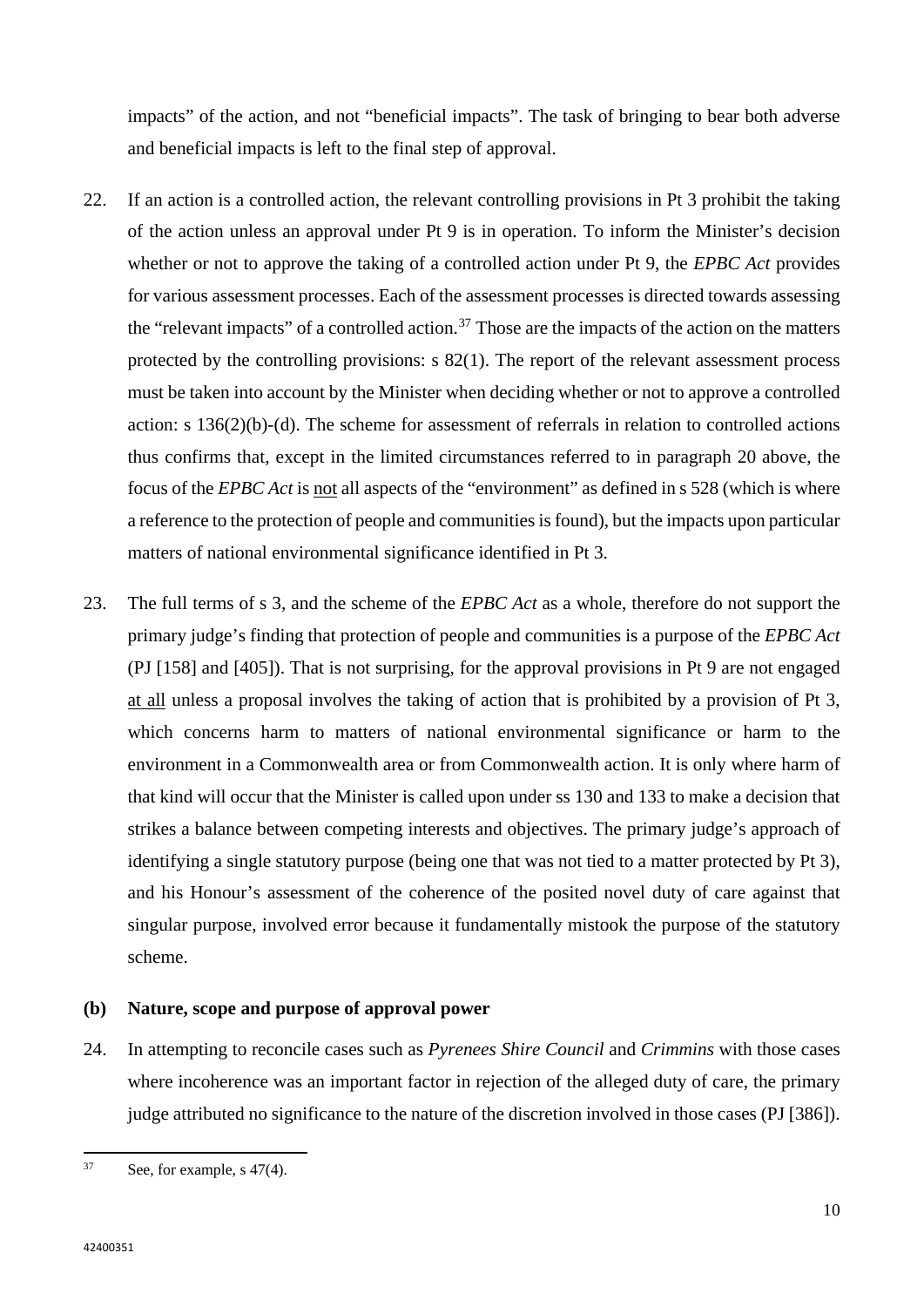impacts" of the action, and not "beneficial impacts". The task of bringing to bear both adverse and beneficial impacts is left to the final step of approval.

- 22. If an action is a controlled action, the relevant controlling provisions in Pt 3 prohibit the taking of the action unless an approval under Pt 9 is in operation. To inform the Minister's decision whether or not to approve the taking of a controlled action under Pt 9, the *EPBC Act* provides for various assessment processes. Each of the assessment processes is directed towards assessing the "relevant impacts" of a controlled action.<sup>[37](#page-11-0)</sup> Those are the impacts of the action on the matters protected by the controlling provisions: s 82(1). The report of the relevant assessment process must be taken into account by the Minister when deciding whether or not to approve a controlled action: s 136(2)(b)-(d). The scheme for assessment of referrals in relation to controlled actions thus confirms that, except in the limited circumstances referred to in paragraph 20 above, the focus of the *EPBC Act* is not all aspects of the "environment" as defined in s 528 (which is where a reference to the protection of people and communities is found), but the impacts upon particular matters of national environmental significance identified in Pt 3.
- <span id="page-11-1"></span>23. The full terms of s 3, and the scheme of the *EPBC Act* as a whole, therefore do not support the primary judge's finding that protection of people and communities is a purpose of the *EPBC Act* (PJ [158] and [405]). That is not surprising, for the approval provisions in Pt 9 are not engaged at all unless a proposal involves the taking of action that is prohibited by a provision of Pt 3, which concerns harm to matters of national environmental significance or harm to the environment in a Commonwealth area or from Commonwealth action. It is only where harm of that kind will occur that the Minister is called upon under ss 130 and 133 to make a decision that strikes a balance between competing interests and objectives. The primary judge's approach of identifying a single statutory purpose (being one that was not tied to a matter protected by Pt 3), and his Honour's assessment of the coherence of the posited novel duty of care against that singular purpose, involved error because it fundamentally mistook the purpose of the statutory scheme.

## **(b) Nature, scope and purpose of approval power**

24. In attempting to reconcile cases such as *Pyrenees Shire Council* and *Crimmins* with those cases where incoherence was an important factor in rejection of the alleged duty of care, the primary judge attributed no significance to the nature of the discretion involved in those cases (PJ [386]).

<span id="page-11-0"></span> $37$ See, for example, s  $47(4)$ .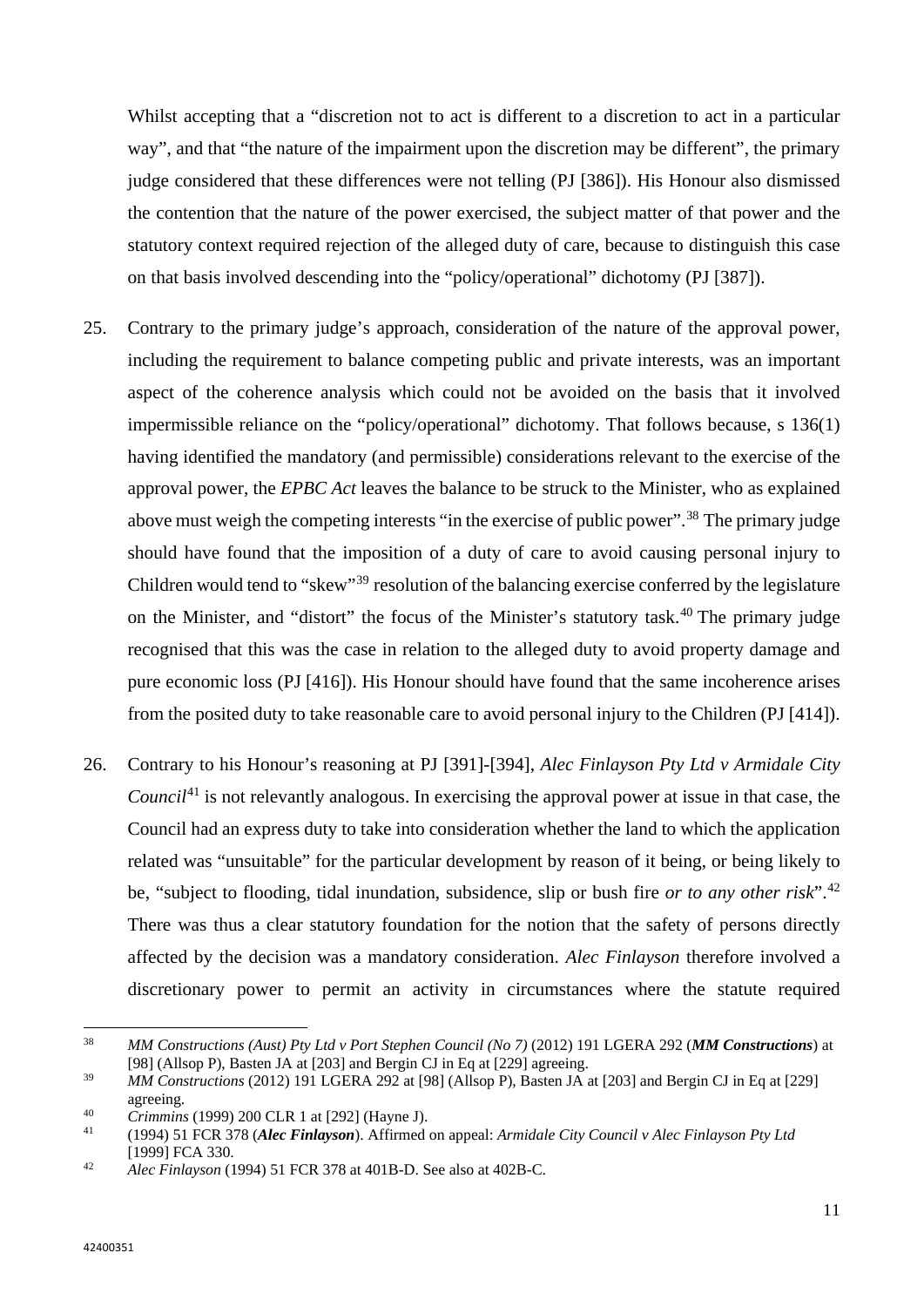Whilst accepting that a "discretion not to act is different to a discretion to act in a particular way", and that "the nature of the impairment upon the discretion may be different", the primary judge considered that these differences were not telling (PJ [386]). His Honour also dismissed the contention that the nature of the power exercised, the subject matter of that power and the statutory context required rejection of the alleged duty of care, because to distinguish this case on that basis involved descending into the "policy/operational" dichotomy (PJ [387]).

- 25. Contrary to the primary judge's approach, consideration of the nature of the approval power, including the requirement to balance competing public and private interests, was an important aspect of the coherence analysis which could not be avoided on the basis that it involved impermissible reliance on the "policy/operational" dichotomy. That follows because, s 136(1) having identified the mandatory (and permissible) considerations relevant to the exercise of the approval power, the *EPBC Act* leaves the balance to be struck to the Minister, who as explained above must weigh the competing interests "in the exercise of public power".<sup>[38](#page-12-0)</sup> The primary judge should have found that the imposition of a duty of care to avoid causing personal injury to Children would tend to "skew"[39](#page-12-1) resolution of the balancing exercise conferred by the legislature on the Minister, and "distort" the focus of the Minister's statutory task.<sup>[40](#page-12-2)</sup> The primary judge recognised that this was the case in relation to the alleged duty to avoid property damage and pure economic loss (PJ [416]). His Honour should have found that the same incoherence arises from the posited duty to take reasonable care to avoid personal injury to the Children (PJ [414]).
- 26. Contrary to his Honour's reasoning at PJ [391]-[394], *Alec Finlayson Pty Ltd v Armidale City Council*<sup>[41](#page-12-3)</sup> is not relevantly analogous. In exercising the approval power at issue in that case, the Council had an express duty to take into consideration whether the land to which the application related was "unsuitable" for the particular development by reason of it being, or being likely to be, "subject to flooding, tidal inundation, subsidence, slip or bush fire *or to any other risk*".[42](#page-12-4) There was thus a clear statutory foundation for the notion that the safety of persons directly affected by the decision was a mandatory consideration. *Alec Finlayson* therefore involved a discretionary power to permit an activity in circumstances where the statute required

<span id="page-12-0"></span><sup>38</sup> <sup>38</sup> *MM Constructions (Aust) Pty Ltd v Port Stephen Council (No 7)* (2012) 191 LGERA 292 (*MM Constructions*) at [98] (Allsop P), Basten JA at [203] and Bergin CJ in Eq at [229] agreeing.

<span id="page-12-1"></span><sup>39</sup> *MM Constructions* (2012) 191 LGERA 292 at [98] (Allsop P), Basten JA at [203] and Bergin CJ in Eq at [229] agreeing.

<span id="page-12-3"></span>

<span id="page-12-2"></span><sup>40</sup> *Crimmins* (1999) 200 CLR 1 at [292] (Hayne J). 41 (1994) 51 FCR 378 (*Alec Finlayson*). Affirmed on appeal: *Armidale City Council v Alec Finlayson Pty Ltd*  [1999] FCA 330.

<span id="page-12-4"></span><sup>42</sup> *Alec Finlayson* (1994) 51 FCR 378 at 401B-D. See also at 402B-C.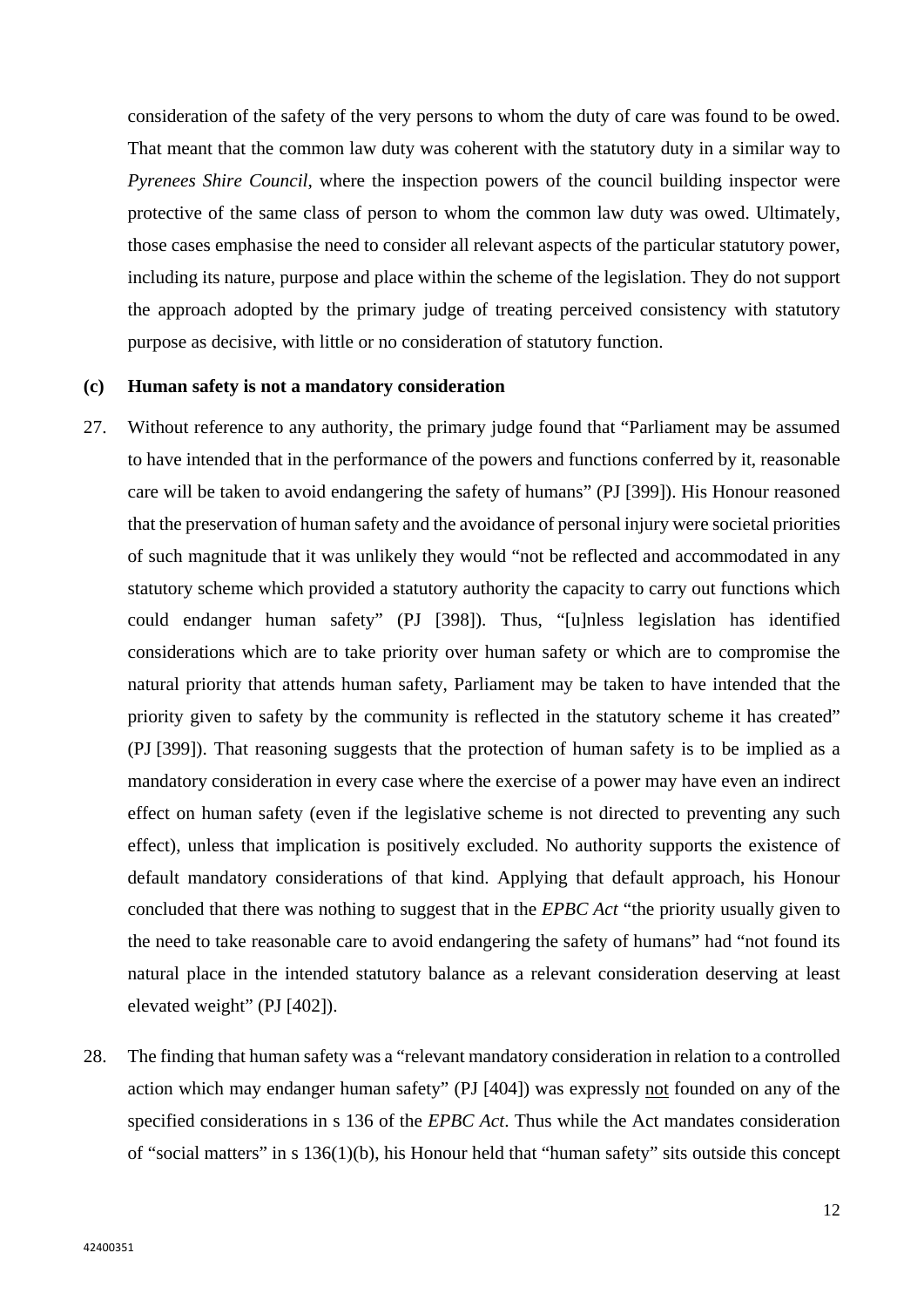consideration of the safety of the very persons to whom the duty of care was found to be owed. That meant that the common law duty was coherent with the statutory duty in a similar way to *Pyrenees Shire Council*, where the inspection powers of the council building inspector were protective of the same class of person to whom the common law duty was owed. Ultimately, those cases emphasise the need to consider all relevant aspects of the particular statutory power, including its nature, purpose and place within the scheme of the legislation. They do not support the approach adopted by the primary judge of treating perceived consistency with statutory purpose as decisive, with little or no consideration of statutory function.

#### **(c) Human safety is not a mandatory consideration**

- 27. Without reference to any authority, the primary judge found that "Parliament may be assumed to have intended that in the performance of the powers and functions conferred by it, reasonable care will be taken to avoid endangering the safety of humans" (PJ [399]). His Honour reasoned that the preservation of human safety and the avoidance of personal injury were societal priorities of such magnitude that it was unlikely they would "not be reflected and accommodated in any statutory scheme which provided a statutory authority the capacity to carry out functions which could endanger human safety" (PJ [398]). Thus, "[u]nless legislation has identified considerations which are to take priority over human safety or which are to compromise the natural priority that attends human safety, Parliament may be taken to have intended that the priority given to safety by the community is reflected in the statutory scheme it has created" (PJ [399]). That reasoning suggests that the protection of human safety is to be implied as a mandatory consideration in every case where the exercise of a power may have even an indirect effect on human safety (even if the legislative scheme is not directed to preventing any such effect), unless that implication is positively excluded. No authority supports the existence of default mandatory considerations of that kind. Applying that default approach, his Honour concluded that there was nothing to suggest that in the *EPBC Act* "the priority usually given to the need to take reasonable care to avoid endangering the safety of humans" had "not found its natural place in the intended statutory balance as a relevant consideration deserving at least elevated weight" (PJ [402]).
- 28. The finding that human safety was a "relevant mandatory consideration in relation to a controlled action which may endanger human safety" (PJ [404]) was expressly not founded on any of the specified considerations in s 136 of the *EPBC Act*. Thus while the Act mandates consideration of "social matters" in s 136(1)(b), his Honour held that "human safety" sits outside this concept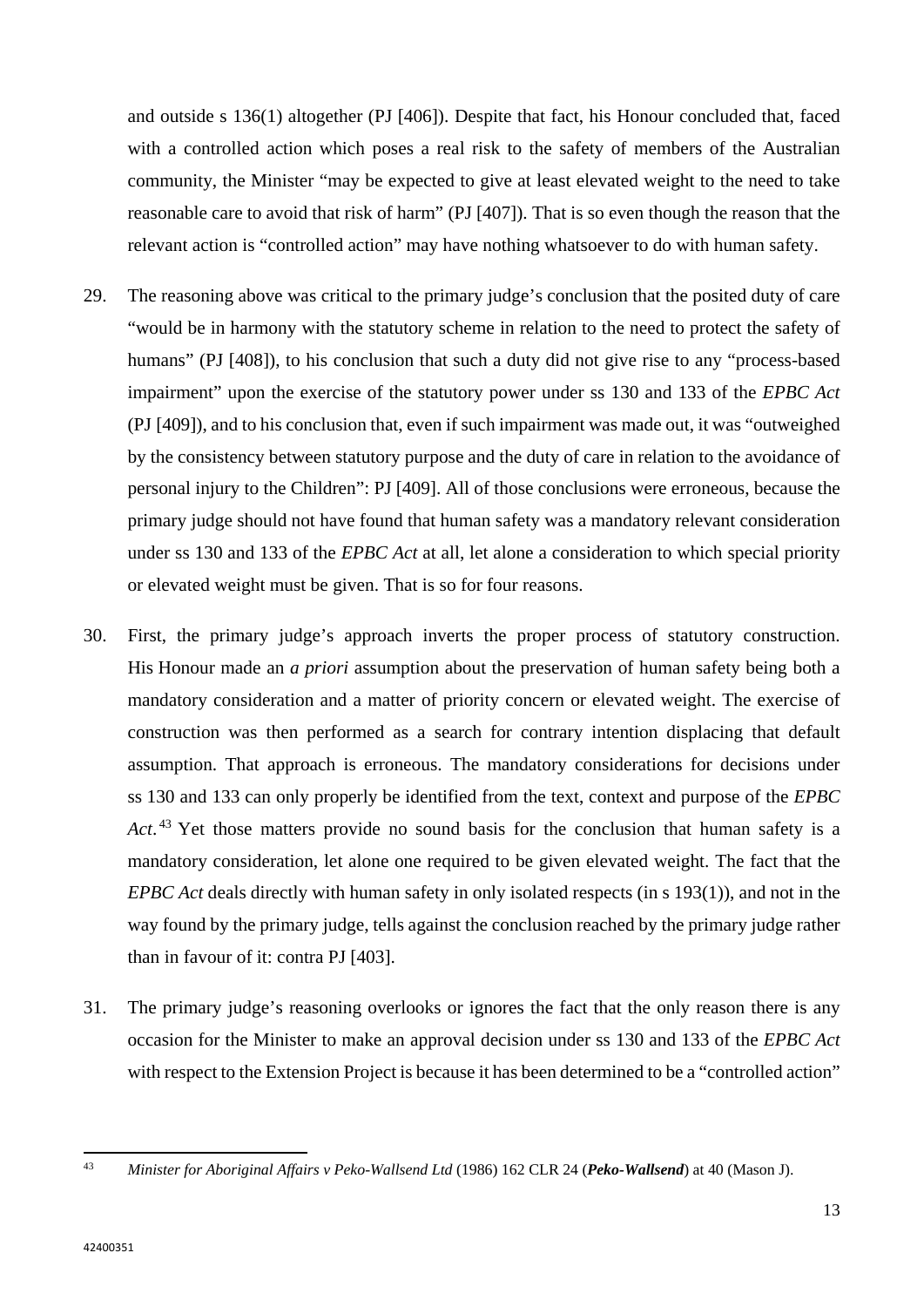and outside s 136(1) altogether (PJ [406]). Despite that fact, his Honour concluded that, faced with a controlled action which poses a real risk to the safety of members of the Australian community, the Minister "may be expected to give at least elevated weight to the need to take reasonable care to avoid that risk of harm" (PJ [407]). That is so even though the reason that the relevant action is "controlled action" may have nothing whatsoever to do with human safety.

- 29. The reasoning above was critical to the primary judge's conclusion that the posited duty of care "would be in harmony with the statutory scheme in relation to the need to protect the safety of humans" (PJ [408]), to his conclusion that such a duty did not give rise to any "process-based impairment" upon the exercise of the statutory power under ss 130 and 133 of the *EPBC Act* (PJ [409]), and to his conclusion that, even if such impairment was made out, it was "outweighed by the consistency between statutory purpose and the duty of care in relation to the avoidance of personal injury to the Children": PJ [409]. All of those conclusions were erroneous, because the primary judge should not have found that human safety was a mandatory relevant consideration under ss 130 and 133 of the *EPBC Act* at all, let alone a consideration to which special priority or elevated weight must be given. That is so for four reasons.
- 30. First, the primary judge's approach inverts the proper process of statutory construction. His Honour made an *a priori* assumption about the preservation of human safety being both a mandatory consideration and a matter of priority concern or elevated weight. The exercise of construction was then performed as a search for contrary intention displacing that default assumption. That approach is erroneous. The mandatory considerations for decisions under ss 130 and 133 can only properly be identified from the text, context and purpose of the *EPBC*  Act.<sup>[43](#page-14-0)</sup> Yet those matters provide no sound basis for the conclusion that human safety is a mandatory consideration, let alone one required to be given elevated weight. The fact that the *EPBC Act* deals directly with human safety in only isolated respects (in s 193(1)), and not in the way found by the primary judge, tells against the conclusion reached by the primary judge rather than in favour of it: contra PJ [403].
- 31. The primary judge's reasoning overlooks or ignores the fact that the only reason there is any occasion for the Minister to make an approval decision under ss 130 and 133 of the *EPBC Act* with respect to the Extension Project is because it has been determined to be a "controlled action"

<span id="page-14-0"></span> $43$ <sup>43</sup> *Minister for Aboriginal Affairs v Peko-Wallsend Ltd* (1986) 162 CLR 24 (*Peko-Wallsend*) at 40 (Mason J).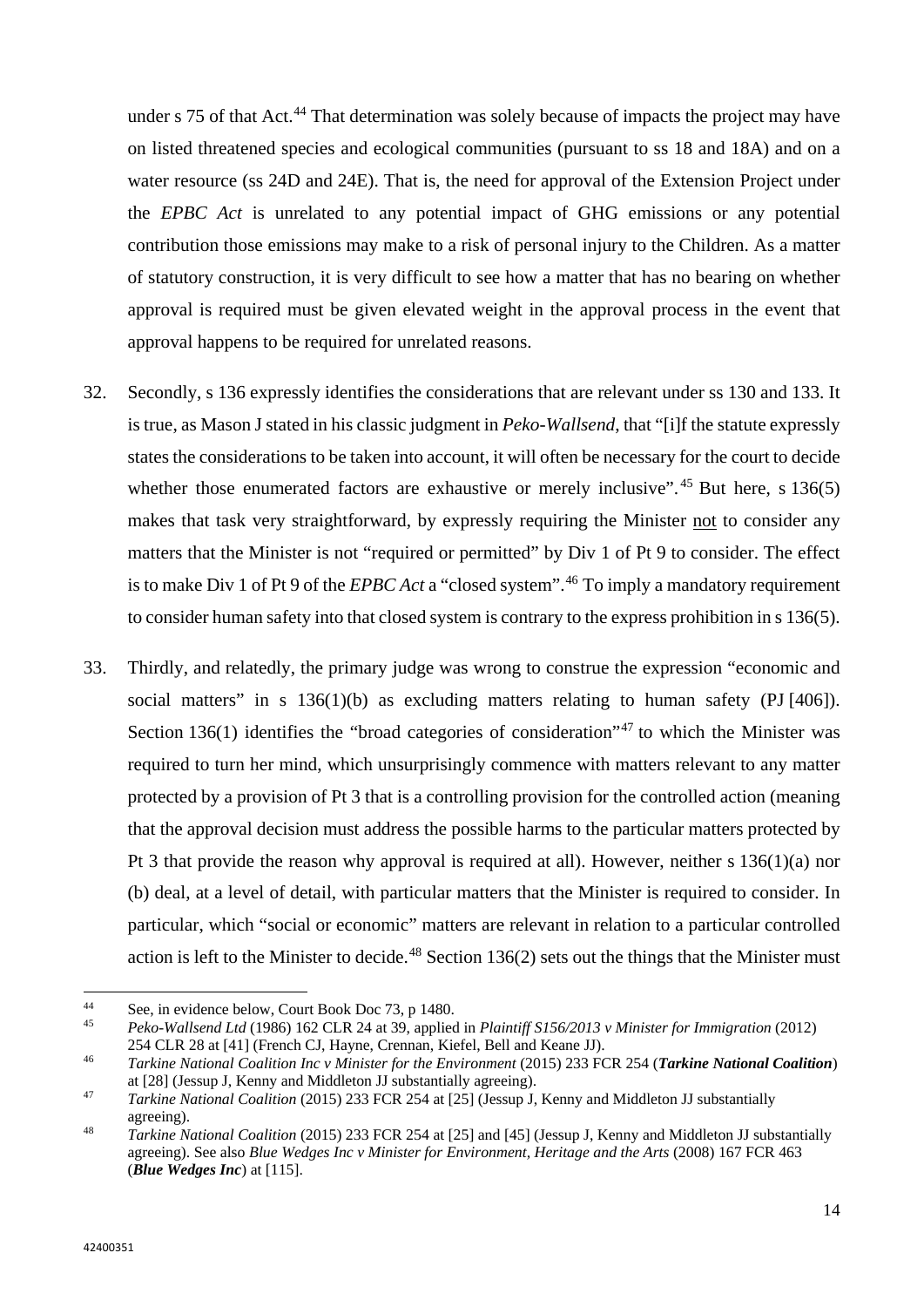under s 75 of that Act.<sup>[44](#page-15-0)</sup> That determination was solely because of impacts the project may have on listed threatened species and ecological communities (pursuant to ss 18 and 18A) and on a water resource (ss 24D and 24E). That is, the need for approval of the Extension Project under the *EPBC Act* is unrelated to any potential impact of GHG emissions or any potential contribution those emissions may make to a risk of personal injury to the Children. As a matter of statutory construction, it is very difficult to see how a matter that has no bearing on whether approval is required must be given elevated weight in the approval process in the event that approval happens to be required for unrelated reasons.

- 32. Secondly, s 136 expressly identifies the considerations that are relevant under ss 130 and 133. It is true, as Mason J stated in his classic judgment in *Peko-Wallsend*, that "[i]f the statute expressly states the considerations to be taken into account, it will often be necessary for the court to decide whether those enumerated factors are exhaustive or merely inclusive".<sup>[45](#page-15-1)</sup> But here, s  $136(5)$ makes that task very straightforward, by expressly requiring the Minister not to consider any matters that the Minister is not "required or permitted" by Div 1 of Pt 9 to consider. The effect is to make Div 1 of Pt 9 of the *EPBC Act* a "closed system".[46](#page-15-2) To imply a mandatory requirement to consider human safety into that closed system is contrary to the express prohibition in s 136(5).
- 33. Thirdly, and relatedly, the primary judge was wrong to construe the expression "economic and social matters" in s 136(1)(b) as excluding matters relating to human safety (PJ [406]). Section 136(1) identifies the "broad categories of consideration"<sup>[47](#page-15-3)</sup> to which the Minister was required to turn her mind, which unsurprisingly commence with matters relevant to any matter protected by a provision of Pt 3 that is a controlling provision for the controlled action (meaning that the approval decision must address the possible harms to the particular matters protected by Pt 3 that provide the reason why approval is required at all). However, neither s 136(1)(a) nor (b) deal, at a level of detail, with particular matters that the Minister is required to consider. In particular, which "social or economic" matters are relevant in relation to a particular controlled action is left to the Minister to decide.<sup>[48](#page-15-4)</sup> Section 136(2) sets out the things that the Minister must

 $\overline{a}$ 

<span id="page-15-1"></span><span id="page-15-0"></span>

<sup>44</sup> See, in evidence below, Court Book Doc 73, p 1480. 45 *Peko-Wallsend Ltd* (1986) 162 CLR 24 at 39, applied in *Plaintiff S156/2013 v Minister for Immigration* (2012) 254 CLR 28 at [41] (French CJ, Hayne, Crennan, Kiefel, Bell and Keane JJ).

<span id="page-15-2"></span><sup>46</sup> *Tarkine National Coalition Inc v Minister for the Environment* (2015) 233 FCR 254 (*Tarkine National Coalition*) at [28] (Jessup J, Kenny and Middleton JJ substantially agreeing).

<span id="page-15-3"></span><sup>47</sup> *Tarkine National Coalition* (2015) 233 FCR 254 at [25] (Jessup J, Kenny and Middleton JJ substantially agreeing).

<span id="page-15-4"></span><sup>48</sup> *Tarkine National Coalition* (2015) 233 FCR 254 at [25] and [45] (Jessup J, Kenny and Middleton JJ substantially agreeing). See also *Blue Wedges Inc v Minister for Environment, Heritage and the Arts* (2008) 167 FCR 463 (*Blue Wedges Inc*) at [115].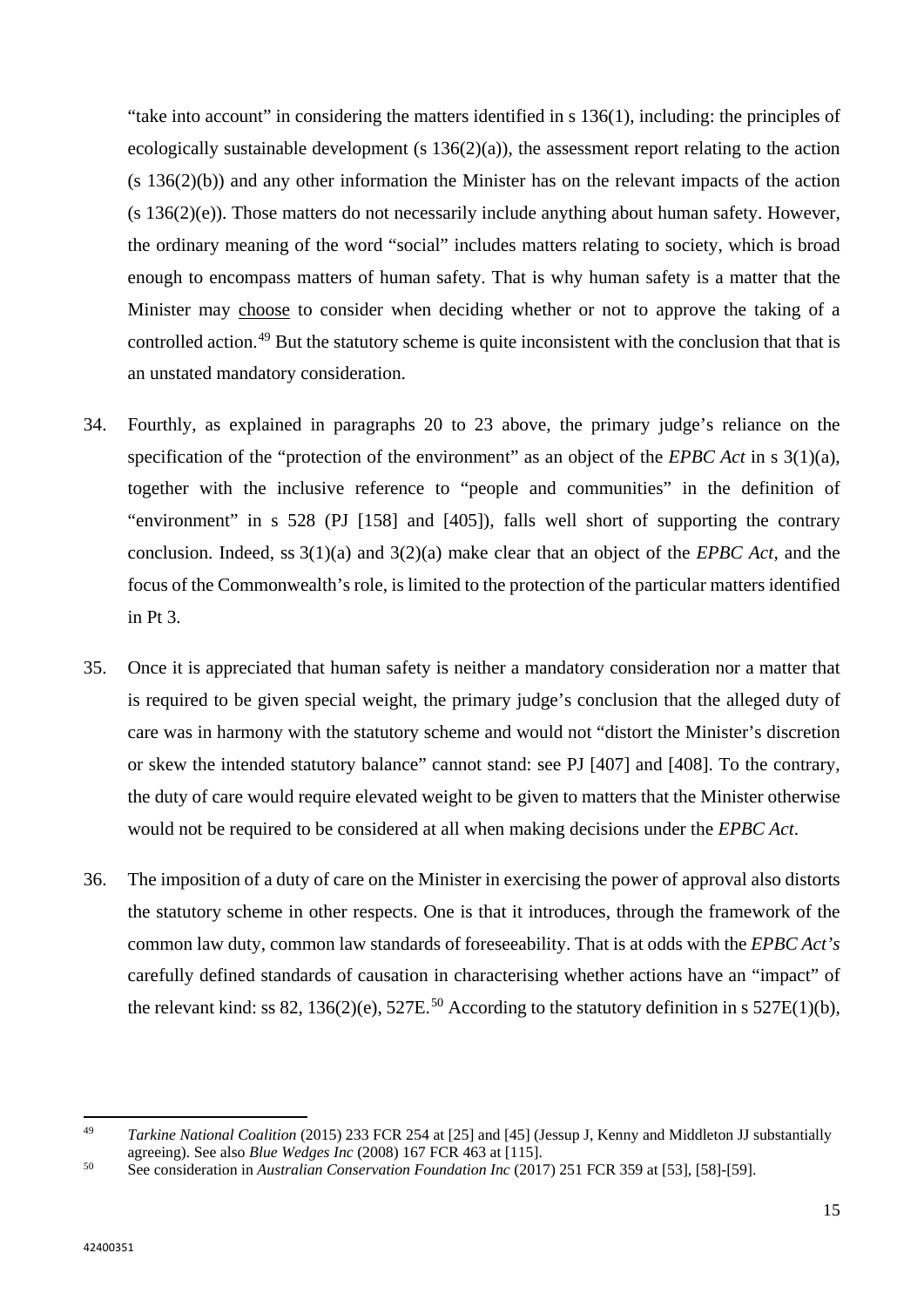"take into account" in considering the matters identified in s 136(1), including: the principles of ecologically sustainable development  $(s 136(2)(a))$ , the assessment report relating to the action  $(s 136(2)(b))$  and any other information the Minister has on the relevant impacts of the action (s 136(2)(e)). Those matters do not necessarily include anything about human safety. However, the ordinary meaning of the word "social" includes matters relating to society, which is broad enough to encompass matters of human safety. That is why human safety is a matter that the Minister may choose to consider when deciding whether or not to approve the taking of a controlled action.<sup>[49](#page-16-0)</sup> But the statutory scheme is quite inconsistent with the conclusion that that is an unstated mandatory consideration.

- 34. Fourthly, as explained in paragraphs [20](#page-10-1) to [23](#page-11-1) above, the primary judge's reliance on the specification of the "protection of the environment" as an object of the *EPBC Act* in s 3(1)(a), together with the inclusive reference to "people and communities" in the definition of "environment" in s 528 (PJ [158] and [405]), falls well short of supporting the contrary conclusion. Indeed, ss 3(1)(a) and 3(2)(a) make clear that an object of the *EPBC Act*, and the focus of the Commonwealth's role, is limited to the protection of the particular matters identified in Pt 3.
- 35. Once it is appreciated that human safety is neither a mandatory consideration nor a matter that is required to be given special weight, the primary judge's conclusion that the alleged duty of care was in harmony with the statutory scheme and would not "distort the Minister's discretion or skew the intended statutory balance" cannot stand: see PJ [407] and [408]. To the contrary, the duty of care would require elevated weight to be given to matters that the Minister otherwise would not be required to be considered at all when making decisions under the *EPBC Act*.
- 36. The imposition of a duty of care on the Minister in exercising the power of approval also distorts the statutory scheme in other respects. One is that it introduces, through the framework of the common law duty, common law standards of foreseeability. That is at odds with the *EPBC Act's* carefully defined standards of causation in characterising whether actions have an "impact" of the relevant kind: ss 82, 136(2)(e), 527E.<sup>[50](#page-16-1)</sup> According to the statutory definition in s 527E(1)(b),

l

<span id="page-16-0"></span><sup>49</sup> *Tarkine National Coalition* (2015) 233 FCR 254 at [25] and [45] (Jessup J, Kenny and Middleton JJ substantially agreeing). See also *Blue Wedges Inc* (2008) 167 FCR 463 at [115].

<span id="page-16-1"></span><sup>50</sup> See consideration in *Australian Conservation Foundation Inc* (2017) 251 FCR 359 at [53], [58]-[59].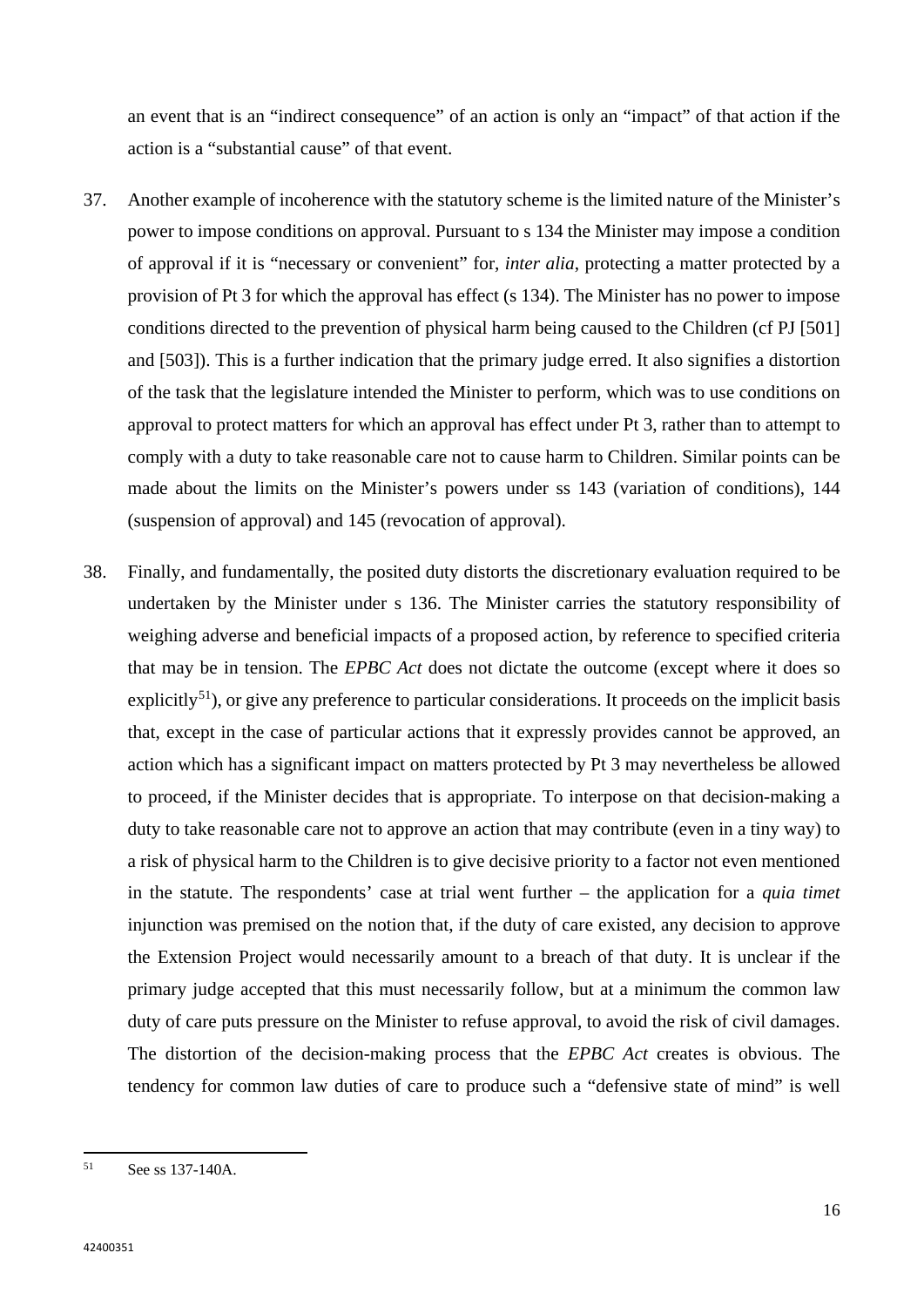an event that is an "indirect consequence" of an action is only an "impact" of that action if the action is a "substantial cause" of that event.

- 37. Another example of incoherence with the statutory scheme is the limited nature of the Minister's power to impose conditions on approval. Pursuant to s 134 the Minister may impose a condition of approval if it is "necessary or convenient" for, *inter alia*, protecting a matter protected by a provision of Pt 3 for which the approval has effect (s 134). The Minister has no power to impose conditions directed to the prevention of physical harm being caused to the Children (cf PJ [501] and [503]). This is a further indication that the primary judge erred. It also signifies a distortion of the task that the legislature intended the Minister to perform, which was to use conditions on approval to protect matters for which an approval has effect under Pt 3, rather than to attempt to comply with a duty to take reasonable care not to cause harm to Children. Similar points can be made about the limits on the Minister's powers under ss 143 (variation of conditions), 144 (suspension of approval) and 145 (revocation of approval).
- 38. Finally, and fundamentally, the posited duty distorts the discretionary evaluation required to be undertaken by the Minister under s 136. The Minister carries the statutory responsibility of weighing adverse and beneficial impacts of a proposed action, by reference to specified criteria that may be in tension. The *EPBC Act* does not dictate the outcome (except where it does so explicitly<sup>[51](#page-17-0)</sup>), or give any preference to particular considerations. It proceeds on the implicit basis that, except in the case of particular actions that it expressly provides cannot be approved, an action which has a significant impact on matters protected by Pt 3 may nevertheless be allowed to proceed, if the Minister decides that is appropriate. To interpose on that decision-making a duty to take reasonable care not to approve an action that may contribute (even in a tiny way) to a risk of physical harm to the Children is to give decisive priority to a factor not even mentioned in the statute. The respondents' case at trial went further – the application for a *quia timet* injunction was premised on the notion that, if the duty of care existed, any decision to approve the Extension Project would necessarily amount to a breach of that duty. It is unclear if the primary judge accepted that this must necessarily follow, but at a minimum the common law duty of care puts pressure on the Minister to refuse approval, to avoid the risk of civil damages. The distortion of the decision-making process that the *EPBC Act* creates is obvious. The tendency for common law duties of care to produce such a "defensive state of mind" is well

 $\overline{a}$ 

<span id="page-17-0"></span><sup>51</sup> See ss 137-140A.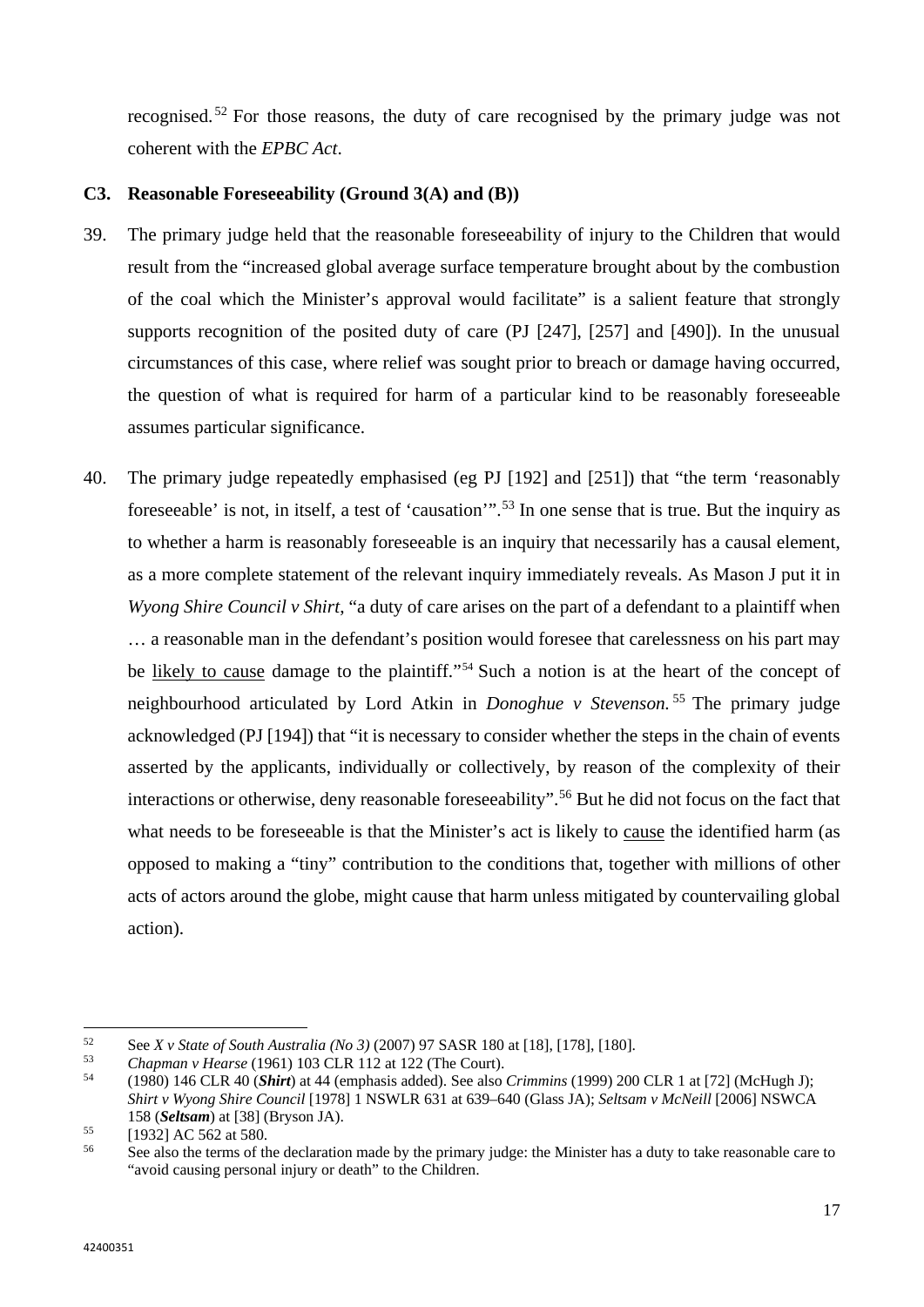recognised. [52](#page-18-0) For those reasons, the duty of care recognised by the primary judge was not coherent with the *EPBC Act*.

# **C3. Reasonable Foreseeability (Ground 3(A) and (B))**

- 39. The primary judge held that the reasonable foreseeability of injury to the Children that would result from the "increased global average surface temperature brought about by the combustion of the coal which the Minister's approval would facilitate" is a salient feature that strongly supports recognition of the posited duty of care (PJ [247], [257] and [490]). In the unusual circumstances of this case, where relief was sought prior to breach or damage having occurred, the question of what is required for harm of a particular kind to be reasonably foreseeable assumes particular significance.
- 40. The primary judge repeatedly emphasised (eg PJ [192] and [251]) that "the term 'reasonably foreseeable' is not, in itself, a test of 'causation'".[53](#page-18-1) In one sense that is true. But the inquiry as to whether a harm is reasonably foreseeable is an inquiry that necessarily has a causal element, as a more complete statement of the relevant inquiry immediately reveals. As Mason J put it in *Wyong Shire Council v Shirt*, "a duty of care arises on the part of a defendant to a plaintiff when … a reasonable man in the defendant's position would foresee that carelessness on his part may be likely to cause damage to the plaintiff."<sup>[54](#page-18-2)</sup> Such a notion is at the heart of the concept of neighbourhood articulated by Lord Atkin in *Donoghue v Stevenson.* [55](#page-18-3) The primary judge acknowledged (PJ [194]) that "it is necessary to consider whether the steps in the chain of events asserted by the applicants, individually or collectively, by reason of the complexity of their interactions or otherwise, deny reasonable foreseeability".[56](#page-18-4) But he did not focus on the fact that what needs to be foreseeable is that the Minister's act is likely to cause the identified harm (as opposed to making a "tiny" contribution to the conditions that, together with millions of other acts of actors around the globe, might cause that harm unless mitigated by countervailing global action).

<span id="page-18-0"></span><sup>52</sup> <sup>52</sup> See *X v State of South Australia (No 3)* (2007) 97 SASR 180 at [18], [178], [180].

<span id="page-18-1"></span><sup>53</sup> *Chapman v Hearse* (1961) 103 CLR 112 at 122 (The Court).

<span id="page-18-2"></span><sup>54</sup> (1980) 146 CLR 40 (*Shirt*) at 44 (emphasis added). See also *Crimmins* (1999) 200 CLR 1 at [72] (McHugh J); *Shirt v Wyong Shire Council* [1978] 1 NSWLR 631 at 639–640 (Glass JA); *Seltsam v McNeill* [2006] NSWCA 158 (*Seltsam*) at [38] (Bryson JA).

<span id="page-18-3"></span> $\begin{array}{c} 55 \\ 56 \end{array}$  [1932] AC 562 at 580.

<span id="page-18-4"></span>See also the terms of the declaration made by the primary judge: the Minister has a duty to take reasonable care to "avoid causing personal injury or death" to the Children.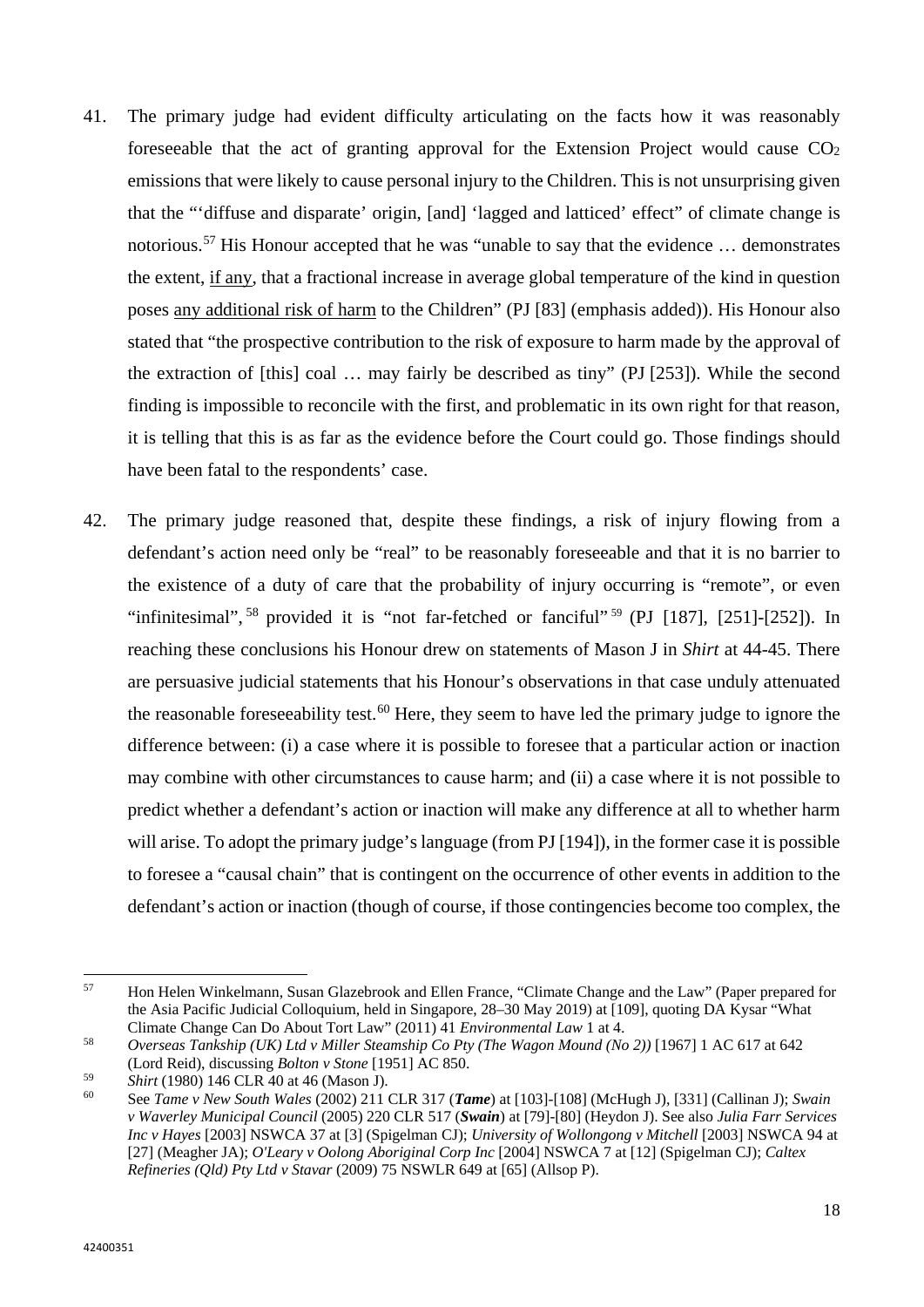- 41. The primary judge had evident difficulty articulating on the facts how it was reasonably foreseeable that the act of granting approval for the Extension Project would cause  $CO<sub>2</sub>$ emissions that were likely to cause personal injury to the Children. This is not unsurprising given that the "'diffuse and disparate' origin, [and] 'lagged and latticed' effect" of climate change is notorious.[57](#page-19-0) His Honour accepted that he was "unable to say that the evidence … demonstrates the extent, if any, that a fractional increase in average global temperature of the kind in question poses any additional risk of harm to the Children" (PJ [83] (emphasis added)). His Honour also stated that "the prospective contribution to the risk of exposure to harm made by the approval of the extraction of [this] coal … may fairly be described as tiny" (PJ [253]). While the second finding is impossible to reconcile with the first, and problematic in its own right for that reason, it is telling that this is as far as the evidence before the Court could go. Those findings should have been fatal to the respondents' case.
- 42. The primary judge reasoned that, despite these findings, a risk of injury flowing from a defendant's action need only be "real" to be reasonably foreseeable and that it is no barrier to the existence of a duty of care that the probability of injury occurring is "remote", or even "infinitesimal", <sup>[58](#page-19-1)</sup> provided it is "not far-fetched or fanciful" <sup>[59](#page-19-2)</sup> (PJ [187], [251]-[252]). In reaching these conclusions his Honour drew on statements of Mason J in *Shirt* at 44-45. There are persuasive judicial statements that his Honour's observations in that case unduly attenuated the reasonable foreseeability test.<sup>[60](#page-19-3)</sup> Here, they seem to have led the primary judge to ignore the difference between: (i) a case where it is possible to foresee that a particular action or inaction may combine with other circumstances to cause harm; and (ii) a case where it is not possible to predict whether a defendant's action or inaction will make any difference at all to whether harm will arise. To adopt the primary judge's language (from PJ [194]), in the former case it is possible to foresee a "causal chain" that is contingent on the occurrence of other events in addition to the defendant's action or inaction (though of course, if those contingencies become too complex, the

 $\overline{a}$ 

<span id="page-19-0"></span><sup>57</sup> Hon Helen Winkelmann, Susan Glazebrook and Ellen France, "Climate Change and the Law" (Paper prepared for the Asia Pacific Judicial Colloquium, held in Singapore, 28–30 May 2019) at [109], quoting DA Kysar "What Climate Change Can Do About Tort Law" (2011) 41 *Environmental Law* 1 at 4.

<span id="page-19-1"></span><sup>58</sup> *Overseas Tankship (UK) Ltd v Miller Steamship Co Pty (The Wagon Mound (No 2))* [1967] 1 AC 617 at 642 (Lord Reid), discussing *Bolton v Stone* [1951] AC 850.

<span id="page-19-2"></span><sup>59</sup> *Shirt* (1980) 146 CLR 40 at 46 (Mason J).

<span id="page-19-3"></span><sup>60</sup> See *Tame v New South Wales* (2002) 211 CLR 317 (*Tame*) at [103]-[108] (McHugh J), [331] (Callinan J); *Swain v Waverley Municipal Council* (2005) 220 CLR 517 (*Swain*) at [79]-[80] (Heydon J). See also *Julia Farr Services Inc v Hayes* [2003] NSWCA 37 at [3] (Spigelman CJ); *University of Wollongong v Mitchell* [2003] NSWCA 94 at [27] (Meagher JA); *O'Leary v Oolong Aboriginal Corp Inc* [2004] NSWCA 7 at [12] (Spigelman CJ); *Caltex Refineries (Qld) Pty Ltd v Stavar* (2009) 75 NSWLR 649 at [65] (Allsop P).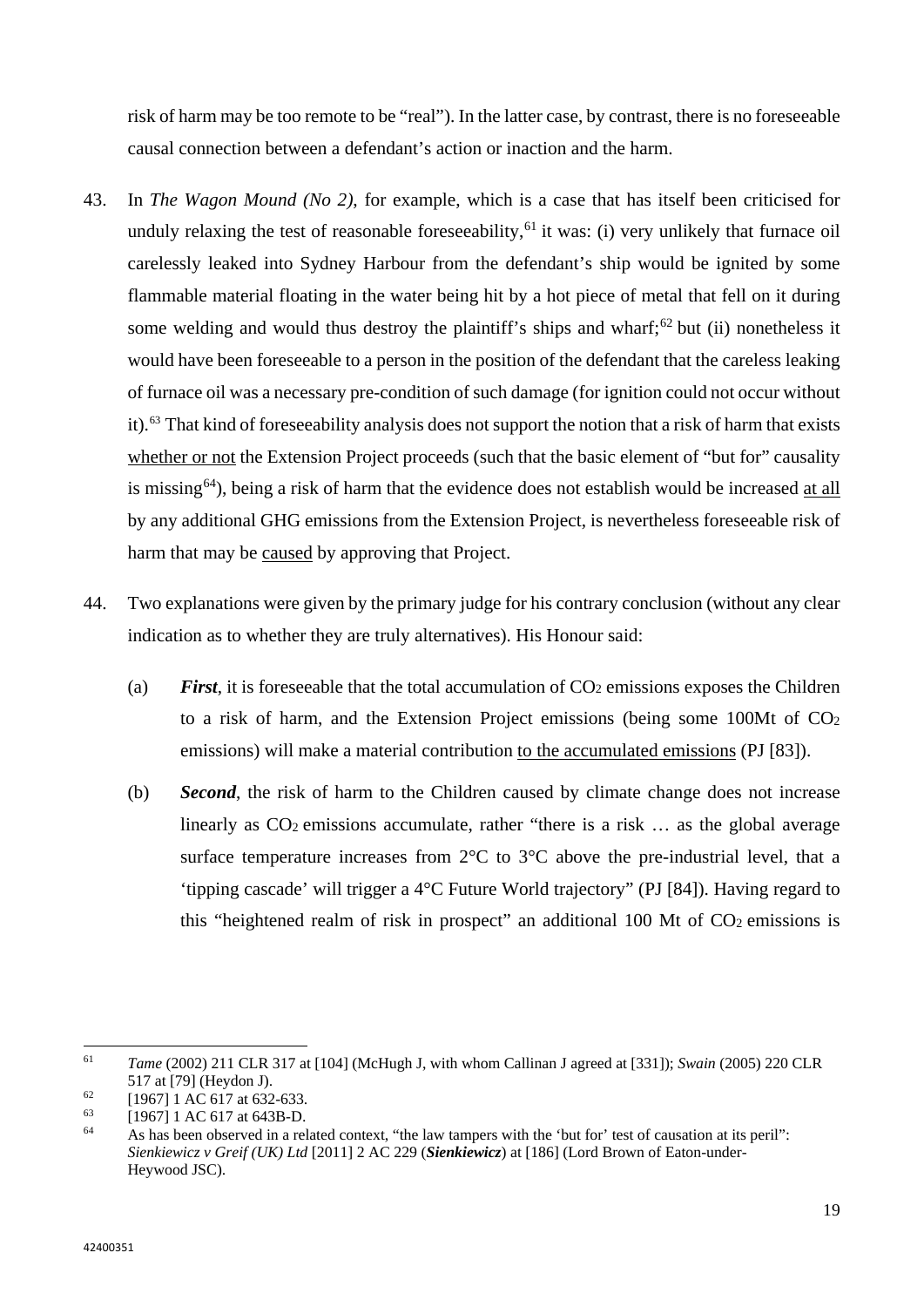risk of harm may be too remote to be "real"). In the latter case, by contrast, there is no foreseeable causal connection between a defendant's action or inaction and the harm.

- 43. In *The Wagon Mound (No 2)*, for example, which is a case that has itself been criticised for unduly relaxing the test of reasonable foreseeability,  $61$  it was: (i) very unlikely that furnace oil carelessly leaked into Sydney Harbour from the defendant's ship would be ignited by some flammable material floating in the water being hit by a hot piece of metal that fell on it during some welding and would thus destroy the plaintiff's ships and wharf; $62$  but (ii) nonetheless it would have been foreseeable to a person in the position of the defendant that the careless leaking of furnace oil was a necessary pre-condition of such damage (for ignition could not occur without it). [63](#page-20-2) That kind of foreseeability analysis does not support the notion that a risk of harm that exists whether or not the Extension Project proceeds (such that the basic element of "but for" causality is missing<sup>[64](#page-20-3)</sup>), being a risk of harm that the evidence does not establish would be increased at all by any additional GHG emissions from the Extension Project, is nevertheless foreseeable risk of harm that may be caused by approving that Project.
- 44. Two explanations were given by the primary judge for his contrary conclusion (without any clear indication as to whether they are truly alternatives). His Honour said:
	- (a) *First*, it is foreseeable that the total accumulation of  $CO<sub>2</sub>$  emissions exposes the Children to a risk of harm, and the Extension Project emissions (being some 100Mt of CO2 emissions) will make a material contribution to the accumulated emissions (PJ [83]).
	- (b) *Second*, the risk of harm to the Children caused by climate change does not increase linearly as  $CO<sub>2</sub>$  emissions accumulate, rather "there is a risk  $\ldots$  as the global average surface temperature increases from  $2^{\circ}C$  to  $3^{\circ}C$  above the pre-industrial level, that a 'tipping cascade' will trigger a 4°C Future World trajectory" (PJ [84]). Having regard to this "heightened realm of risk in prospect" an additional 100 Mt of  $CO<sub>2</sub>$  emissions is

<span id="page-20-0"></span><sup>61</sup> <sup>61</sup> *Tame* (2002) 211 CLR 317 at [104] (McHugh J, with whom Callinan J agreed at [331]); *Swain* (2005) 220 CLR 517 at [79] (Heydon J).

<span id="page-20-1"></span> $^{62}$  [1967] 1 AC 617 at 632-633.

<span id="page-20-2"></span> $^{63}$  [1967] 1 AC 617 at 643B-D.<br> $^{64}$  As has been observed in a ral

<span id="page-20-3"></span>As has been observed in a related context, "the law tampers with the 'but for' test of causation at its peril": *Sienkiewicz v Greif (UK) Ltd* [2011] 2 AC 229 (*Sienkiewicz*) at [186] (Lord Brown of Eaton-under-Heywood JSC).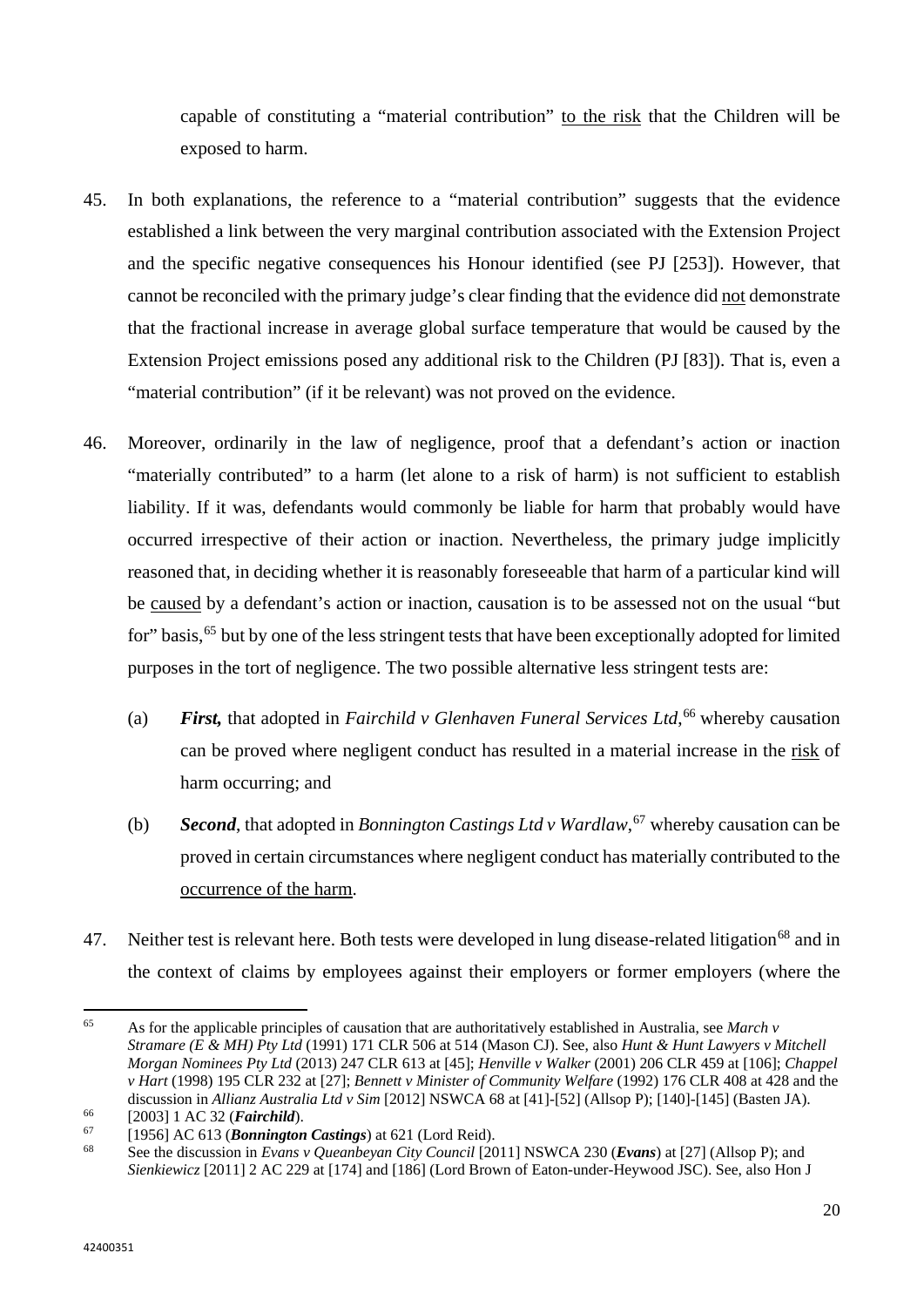capable of constituting a "material contribution" to the risk that the Children will be exposed to harm.

- 45. In both explanations, the reference to a "material contribution" suggests that the evidence established a link between the very marginal contribution associated with the Extension Project and the specific negative consequences his Honour identified (see PJ [253]). However, that cannot be reconciled with the primary judge's clear finding that the evidence did not demonstrate that the fractional increase in average global surface temperature that would be caused by the Extension Project emissions posed any additional risk to the Children (PJ [83]). That is, even a "material contribution" (if it be relevant) was not proved on the evidence.
- 46. Moreover, ordinarily in the law of negligence, proof that a defendant's action or inaction "materially contributed" to a harm (let alone to a risk of harm) is not sufficient to establish liability. If it was, defendants would commonly be liable for harm that probably would have occurred irrespective of their action or inaction. Nevertheless, the primary judge implicitly reasoned that, in deciding whether it is reasonably foreseeable that harm of a particular kind will be caused by a defendant's action or inaction, causation is to be assessed not on the usual "but for" basis,<sup>[65](#page-21-0)</sup> but by one of the less stringent tests that have been exceptionally adopted for limited purposes in the tort of negligence. The two possible alternative less stringent tests are:
	- (a) *First,* that adopted in *Fairchild v Glenhaven Funeral Services Ltd*, [66](#page-21-1) whereby causation can be proved where negligent conduct has resulted in a material increase in the risk of harm occurring; and
	- (b) *Second*, that adopted in *Bonnington Castings Ltd v Wardlaw*, [67](#page-21-2) whereby causation can be proved in certain circumstances where negligent conduct has materially contributed to the occurrence of the harm.
- 47. Neither test is relevant here. Both tests were developed in lung disease-related litigation<sup>[68](#page-21-3)</sup> and in the context of claims by employees against their employers or former employers (where the

l

<span id="page-21-0"></span><sup>65</sup> As for the applicable principles of causation that are authoritatively established in Australia, see *March v Stramare (E & MH) Pty Ltd* (1991) 171 CLR 506 at 514 (Mason CJ). See, also *Hunt & Hunt Lawyers v Mitchell Morgan Nominees Pty Ltd* (2013) 247 CLR 613 at [45]; *Henville v Walker* (2001) 206 CLR 459 at [106]; *Chappel v Hart* (1998) 195 CLR 232 at [27]; *Bennett v Minister of Community Welfare* (1992) 176 CLR 408 at 428 and the discussion in *Allianz Australia Ltd v Sim* [2012] NSWCA 68 at [41]-[52] (Allsop P); [140]-[145] (Basten JA).

<span id="page-21-1"></span><sup>66</sup> [2003] 1 AC 32 (*Fairchild*).

<span id="page-21-2"></span><sup>67</sup> [1956] AC 613 (*Bonnington Castings*) at 621 (Lord Reid).

<span id="page-21-3"></span><sup>68</sup> See the discussion in *Evans v Queanbeyan City Council* [2011] NSWCA 230 (*Evans*) at [27] (Allsop P); and *Sienkiewicz* [2011] 2 AC 229 at [174] and [186] (Lord Brown of Eaton-under-Heywood JSC). See, also Hon J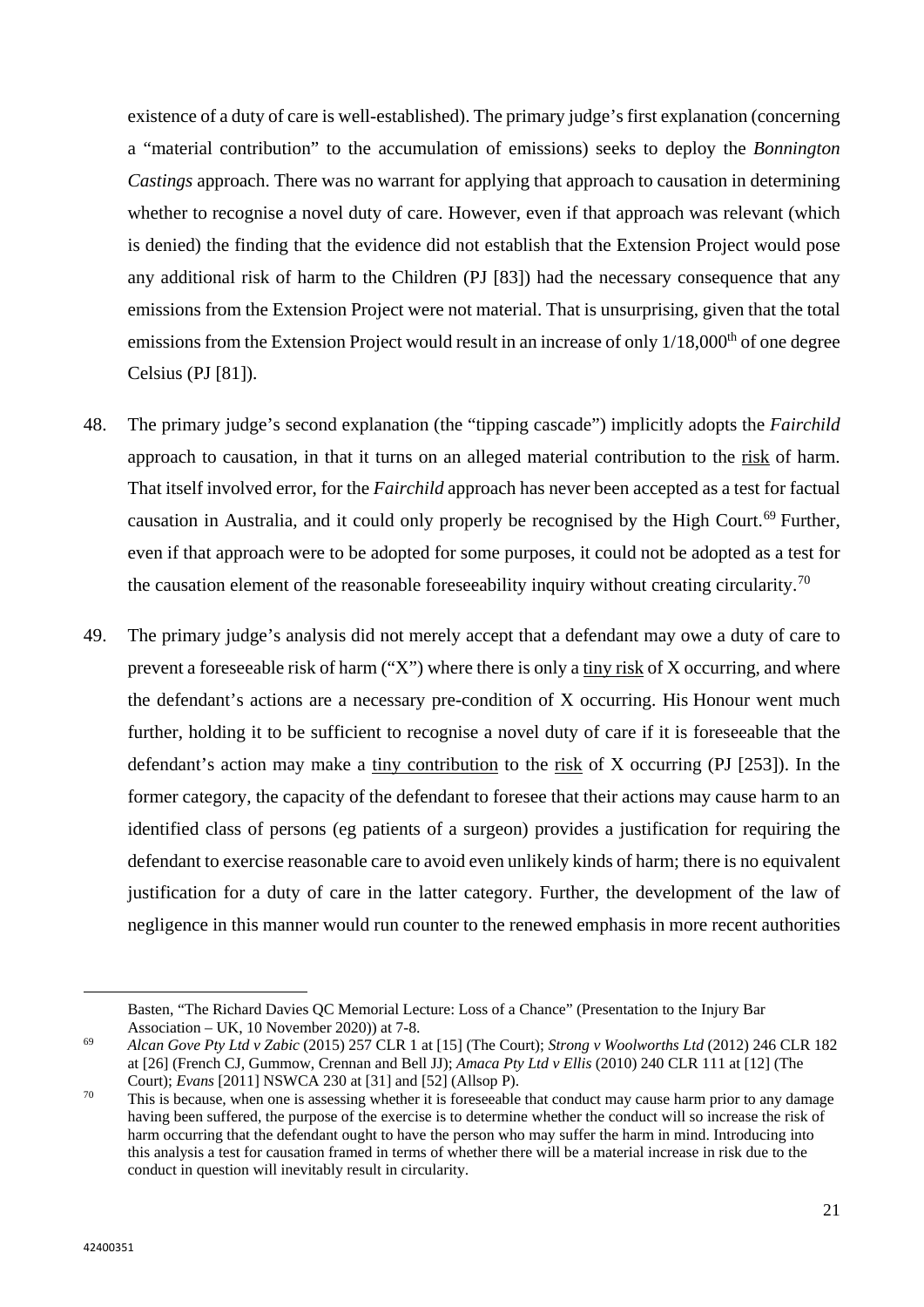existence of a duty of care is well-established). The primary judge's first explanation (concerning a "material contribution" to the accumulation of emissions) seeks to deploy the *Bonnington Castings* approach. There was no warrant for applying that approach to causation in determining whether to recognise a novel duty of care. However, even if that approach was relevant (which is denied) the finding that the evidence did not establish that the Extension Project would pose any additional risk of harm to the Children (PJ [83]) had the necessary consequence that any emissions from the Extension Project were not material. That is unsurprising, given that the total emissions from the Extension Project would result in an increase of only  $1/18,000<sup>th</sup>$  of one degree Celsius (PJ [81]).

- 48. The primary judge's second explanation (the "tipping cascade") implicitly adopts the *Fairchild* approach to causation, in that it turns on an alleged material contribution to the risk of harm. That itself involved error, for the *Fairchild* approach has never been accepted as a test for factual causation in Australia, and it could only properly be recognised by the High Court.<sup>[69](#page-22-0)</sup> Further, even if that approach were to be adopted for some purposes, it could not be adopted as a test for the causation element of the reasonable foreseeability inquiry without creating circularity.<sup>[70](#page-22-1)</sup>
- 49. The primary judge's analysis did not merely accept that a defendant may owe a duty of care to prevent a foreseeable risk of harm ("X") where there is only a tiny risk of X occurring, and where the defendant's actions are a necessary pre-condition of X occurring. His Honour went much further, holding it to be sufficient to recognise a novel duty of care if it is foreseeable that the defendant's action may make a tiny contribution to the risk of X occurring (PJ [253]). In the former category, the capacity of the defendant to foresee that their actions may cause harm to an identified class of persons (eg patients of a surgeon) provides a justification for requiring the defendant to exercise reasonable care to avoid even unlikely kinds of harm; there is no equivalent justification for a duty of care in the latter category. Further, the development of the law of negligence in this manner would run counter to the renewed emphasis in more recent authorities

 $\overline{a}$ 

Basten, "The Richard Davies QC Memorial Lecture: Loss of a Chance" (Presentation to the Injury Bar Association – UK, 10 November 2020)) at 7-8.

<span id="page-22-0"></span><sup>69</sup> *Alcan Gove Pty Ltd v Zabic* (2015) 257 CLR 1 at [15] (The Court); *Strong v Woolworths Ltd* (2012) 246 CLR 182 at [26] (French CJ, Gummow, Crennan and Bell JJ); *Amaca Pty Ltd v Ellis* (2010) 240 CLR 111 at [12] (The Court); *Evans* [2011] NSWCA 230 at [31] and [52] (Allsop P).<br><sup>70</sup> This is because, when one is assessing whether it is foreseeable that conduct may cause harm prior to any damage

<span id="page-22-1"></span>having been suffered, the purpose of the exercise is to determine whether the conduct will so increase the risk of harm occurring that the defendant ought to have the person who may suffer the harm in mind. Introducing into this analysis a test for causation framed in terms of whether there will be a material increase in risk due to the conduct in question will inevitably result in circularity.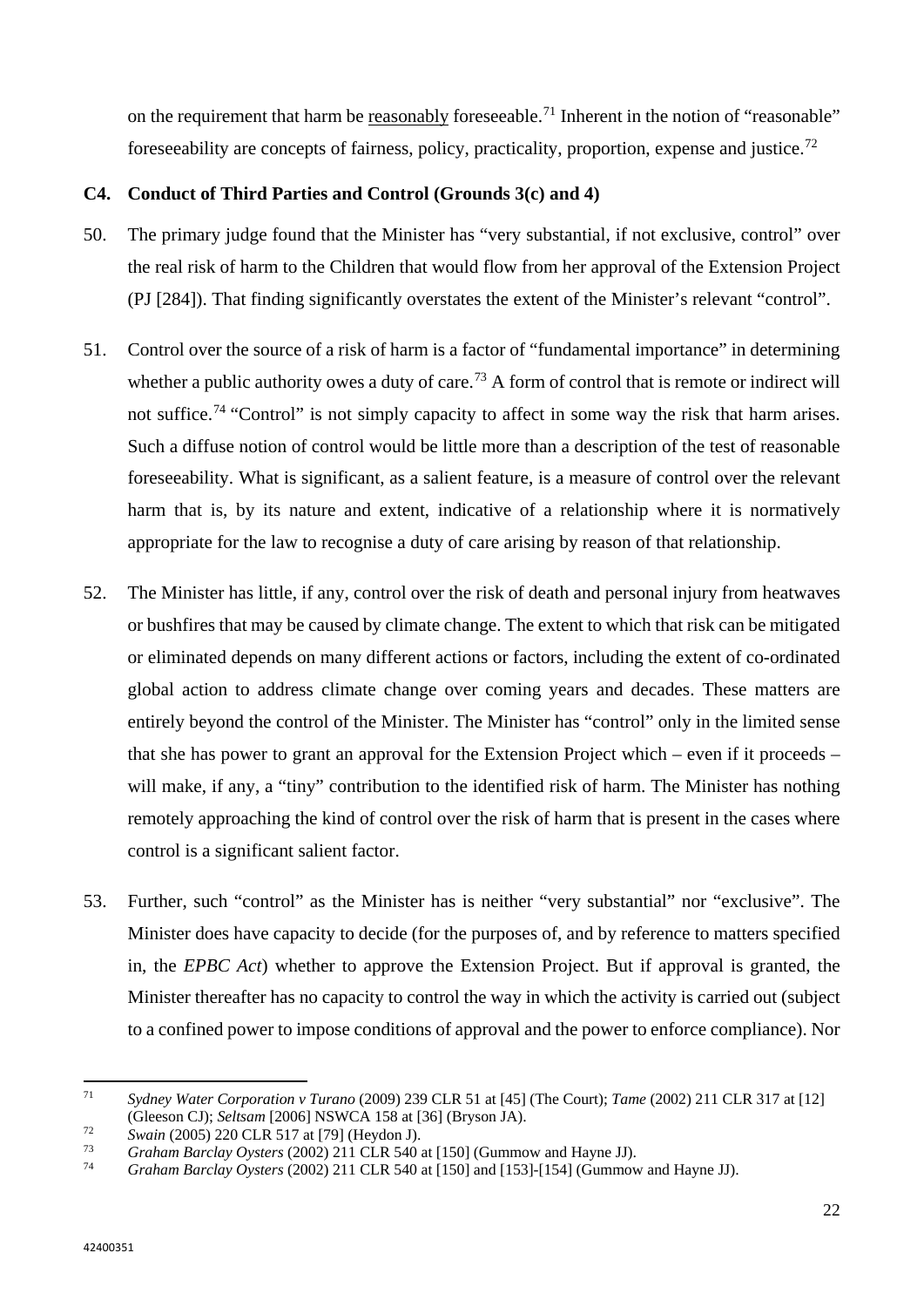on the requirement that harm be reasonably foreseeable.<sup>[71](#page-23-0)</sup> Inherent in the notion of "reasonable" foreseeability are concepts of fairness, policy, practicality, proportion, expense and justice.[72](#page-23-1)

# **C4. Conduct of Third Parties and Control (Grounds 3(c) and 4)**

- 50. The primary judge found that the Minister has "very substantial, if not exclusive, control" over the real risk of harm to the Children that would flow from her approval of the Extension Project (PJ [284]). That finding significantly overstates the extent of the Minister's relevant "control".
- 51. Control over the source of a risk of harm is a factor of "fundamental importance" in determining whether a public authority owes a duty of care.<sup>[73](#page-23-2)</sup> A form of control that is remote or indirect will not suffice.<sup>[74](#page-23-3)</sup> "Control" is not simply capacity to affect in some way the risk that harm arises. Such a diffuse notion of control would be little more than a description of the test of reasonable foreseeability. What is significant, as a salient feature, is a measure of control over the relevant harm that is, by its nature and extent, indicative of a relationship where it is normatively appropriate for the law to recognise a duty of care arising by reason of that relationship.
- 52. The Minister has little, if any, control over the risk of death and personal injury from heatwaves or bushfires that may be caused by climate change. The extent to which that risk can be mitigated or eliminated depends on many different actions or factors, including the extent of co-ordinated global action to address climate change over coming years and decades. These matters are entirely beyond the control of the Minister. The Minister has "control" only in the limited sense that she has power to grant an approval for the Extension Project which – even if it proceeds – will make, if any, a "tiny" contribution to the identified risk of harm. The Minister has nothing remotely approaching the kind of control over the risk of harm that is present in the cases where control is a significant salient factor.
- 53. Further, such "control" as the Minister has is neither "very substantial" nor "exclusive". The Minister does have capacity to decide (for the purposes of, and by reference to matters specified in, the *EPBC Act*) whether to approve the Extension Project. But if approval is granted, the Minister thereafter has no capacity to control the way in which the activity is carried out (subject to a confined power to impose conditions of approval and the power to enforce compliance). Nor

<span id="page-23-0"></span> $71$ <sup>71</sup> *Sydney Water Corporation v Turano* (2009) 239 CLR 51 at [45] (The Court); *Tame* (2002) 211 CLR 317 at [12] (Gleeson CJ); *Seltsam* [2006] NSWCA 158 at [36] (Bryson JA).

<span id="page-23-1"></span><sup>72</sup> *Swain* (2005) 220 CLR 517 at [79] (Heydon J).

<span id="page-23-2"></span><sup>73</sup> *Graham Barclay Oysters* (2002) 211 CLR 540 at [150] (Gummow and Hayne JJ).

<span id="page-23-3"></span><sup>74</sup> *Graham Barclay Oysters* (2002) 211 CLR 540 at [150] and [153]-[154] (Gummow and Hayne JJ).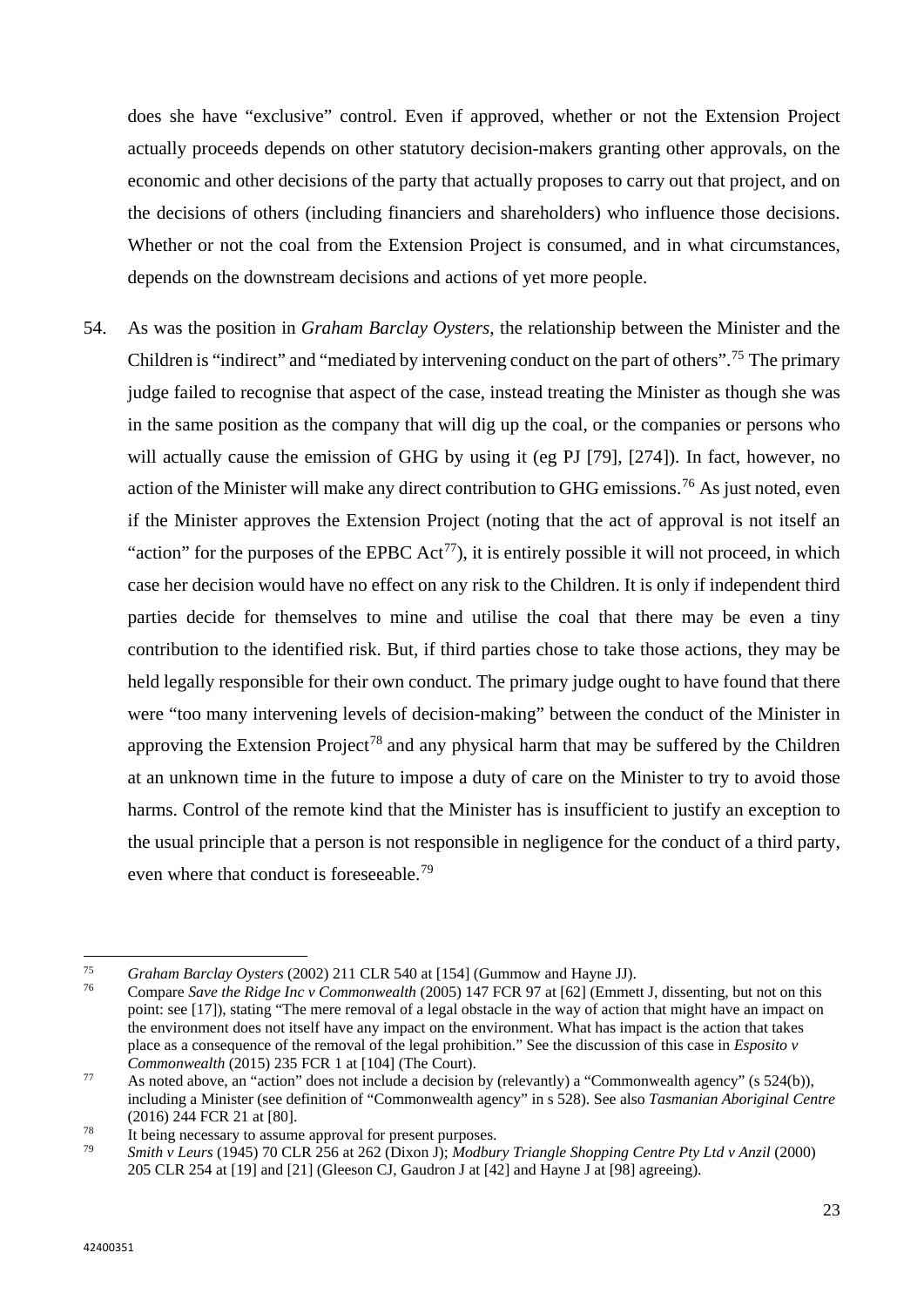does she have "exclusive" control. Even if approved, whether or not the Extension Project actually proceeds depends on other statutory decision-makers granting other approvals, on the economic and other decisions of the party that actually proposes to carry out that project, and on the decisions of others (including financiers and shareholders) who influence those decisions. Whether or not the coal from the Extension Project is consumed, and in what circumstances, depends on the downstream decisions and actions of yet more people.

54. As was the position in *Graham Barclay Oysters*, the relationship between the Minister and the Children is "indirect" and "mediated by intervening conduct on the part of others".[75](#page-24-0) The primary judge failed to recognise that aspect of the case, instead treating the Minister as though she was in the same position as the company that will dig up the coal, or the companies or persons who will actually cause the emission of GHG by using it (eg PJ [79], [274]). In fact, however, no action of the Minister will make any direct contribution to GHG emissions.<sup>[76](#page-24-1)</sup> As just noted, even if the Minister approves the Extension Project (noting that the act of approval is not itself an "action" for the purposes of the EPBC  $Act^{77}$  $Act^{77}$  $Act^{77}$ ), it is entirely possible it will not proceed, in which case her decision would have no effect on any risk to the Children. It is only if independent third parties decide for themselves to mine and utilise the coal that there may be even a tiny contribution to the identified risk. But, if third parties chose to take those actions, they may be held legally responsible for their own conduct. The primary judge ought to have found that there were "too many intervening levels of decision-making" between the conduct of the Minister in approving the Extension Project<sup>[78](#page-24-3)</sup> and any physical harm that may be suffered by the Children at an unknown time in the future to impose a duty of care on the Minister to try to avoid those harms. Control of the remote kind that the Minister has is insufficient to justify an exception to the usual principle that a person is not responsible in negligence for the conduct of a third party, even where that conduct is foreseeable.<sup>[79](#page-24-4)</sup>

<span id="page-24-0"></span>l <sup>75</sup> *Graham Barclay Oysters* (2002) 211 CLR 540 at [154] (Gummow and Hayne JJ).

<span id="page-24-1"></span><sup>76</sup> Compare *Save the Ridge Inc v Commonwealth* (2005) 147 FCR 97 at [62] (Emmett J, dissenting, but not on this point: see [17]), stating "The mere removal of a legal obstacle in the way of action that might have an impact on the environment does not itself have any impact on the environment. What has impact is the action that takes place as a consequence of the removal of the legal prohibition." See the discussion of this case in *Esposito v Commonwealth* (2015) 235 FCR 1 at [104] (The Court).

<span id="page-24-2"></span><sup>77</sup> As noted above, an "action" does not include a decision by (relevantly) a "Commonwealth agency" (s 524(b)), including a Minister (see definition of "Commonwealth agency" in s 528). See also *Tasmanian Aboriginal Centre*  (2016) 244 FCR 21 at [80].

<span id="page-24-3"></span><sup>&</sup>lt;sup>78</sup> It being necessary to assume approval for present purposes.<br>
<sup>79</sup> Smith y Laure (1045) 70 CLP 256 at 262 (Dixon I): Modbur

<span id="page-24-4"></span><sup>79</sup> *Smith v Leurs* (1945) 70 CLR 256 at 262 (Dixon J); *Modbury Triangle Shopping Centre Pty Ltd v Anzil* (2000) 205 CLR 254 at [19] and [21] (Gleeson CJ, Gaudron J at [42] and Hayne J at [98] agreeing).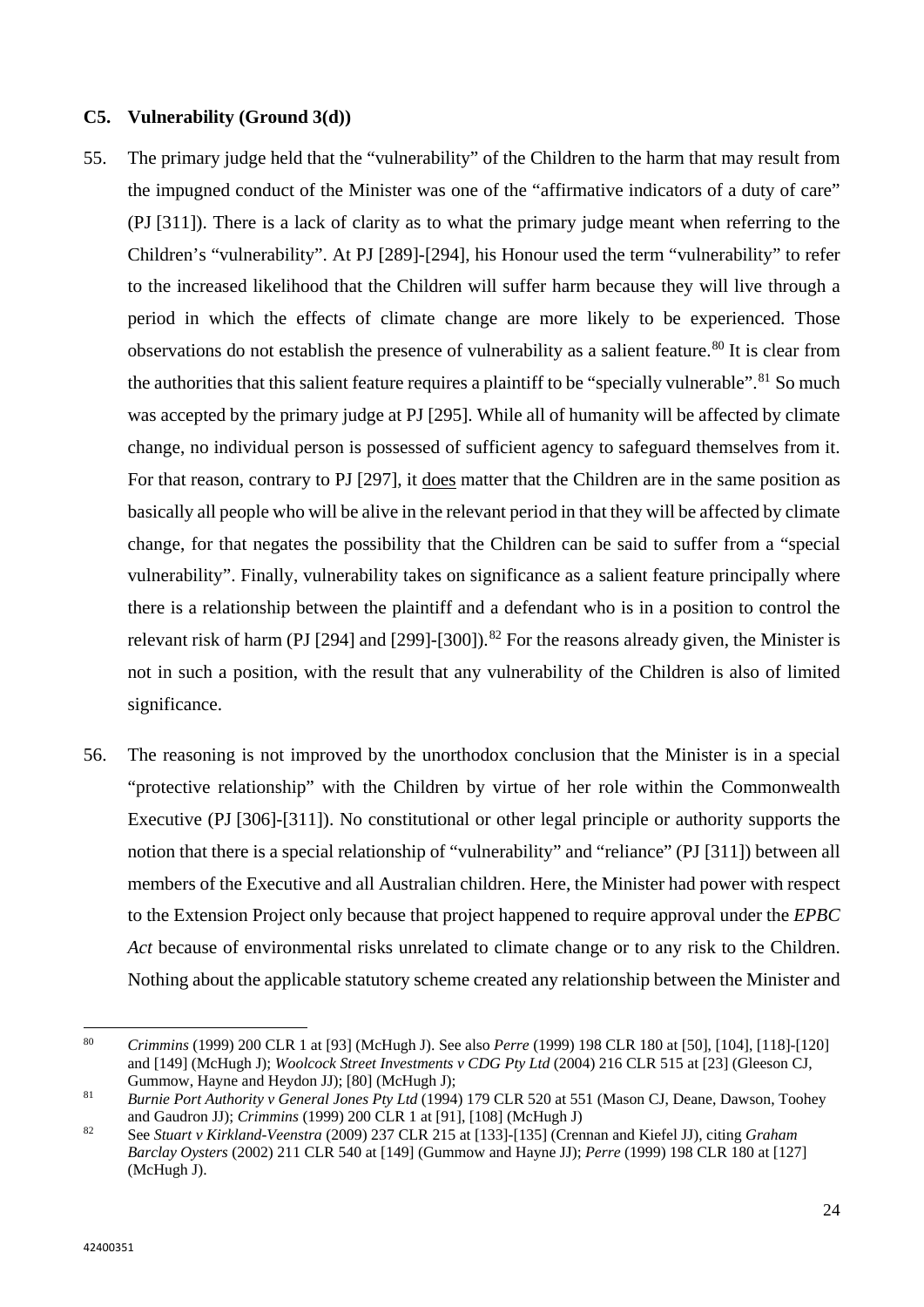## **C5. Vulnerability (Ground 3(d))**

- 55. The primary judge held that the "vulnerability" of the Children to the harm that may result from the impugned conduct of the Minister was one of the "affirmative indicators of a duty of care" (PJ [311]). There is a lack of clarity as to what the primary judge meant when referring to the Children's "vulnerability". At PJ [289]-[294], his Honour used the term "vulnerability" to refer to the increased likelihood that the Children will suffer harm because they will live through a period in which the effects of climate change are more likely to be experienced. Those observations do not establish the presence of vulnerability as a salient feature.<sup>[80](#page-25-0)</sup> It is clear from the authorities that this salient feature requires a plaintiff to be "specially vulnerable".<sup>[81](#page-25-1)</sup> So much was accepted by the primary judge at PJ [295]. While all of humanity will be affected by climate change, no individual person is possessed of sufficient agency to safeguard themselves from it. For that reason, contrary to PJ [297], it does matter that the Children are in the same position as basically all people who will be alive in the relevant period in that they will be affected by climate change, for that negates the possibility that the Children can be said to suffer from a "special vulnerability". Finally, vulnerability takes on significance as a salient feature principally where there is a relationship between the plaintiff and a defendant who is in a position to control the relevant risk of harm (PJ [294] and [299]-[300]).<sup>[82](#page-25-2)</sup> For the reasons already given, the Minister is not in such a position, with the result that any vulnerability of the Children is also of limited significance.
- 56. The reasoning is not improved by the unorthodox conclusion that the Minister is in a special "protective relationship" with the Children by virtue of her role within the Commonwealth Executive (PJ [306]-[311]). No constitutional or other legal principle or authority supports the notion that there is a special relationship of "vulnerability" and "reliance" (PJ [311]) between all members of the Executive and all Australian children. Here, the Minister had power with respect to the Extension Project only because that project happened to require approval under the *EPBC Act* because of environmental risks unrelated to climate change or to any risk to the Children. Nothing about the applicable statutory scheme created any relationship between the Minister and

<span id="page-25-0"></span><sup>80</sup> <sup>80</sup> *Crimmins* (1999) 200 CLR 1 at [93] (McHugh J). See also *Perre* (1999) 198 CLR 180 at [50], [104], [118]-[120] and [149] (McHugh J); *Woolcock Street Investments v CDG Pty Ltd* (2004) 216 CLR 515 at [23] (Gleeson CJ, Gummow, Hayne and Heydon JJ); [80] (McHugh J); 81 *Burnie Port Authority v General Jones Pty Ltd* (1994) 179 CLR 520 at 551 (Mason CJ, Deane, Dawson, Toohey

<span id="page-25-1"></span>and Gaudron JJ); *Crimmins* (1999) 200 CLR 1 at [91], [108] (McHugh J)

<span id="page-25-2"></span><sup>82</sup> See *Stuart v Kirkland-Veenstra* (2009) 237 CLR 215 at [133]-[135] (Crennan and Kiefel JJ), citing *Graham Barclay Oysters* (2002) 211 CLR 540 at [149] (Gummow and Hayne JJ); *Perre* (1999) 198 CLR 180 at [127] (McHugh J).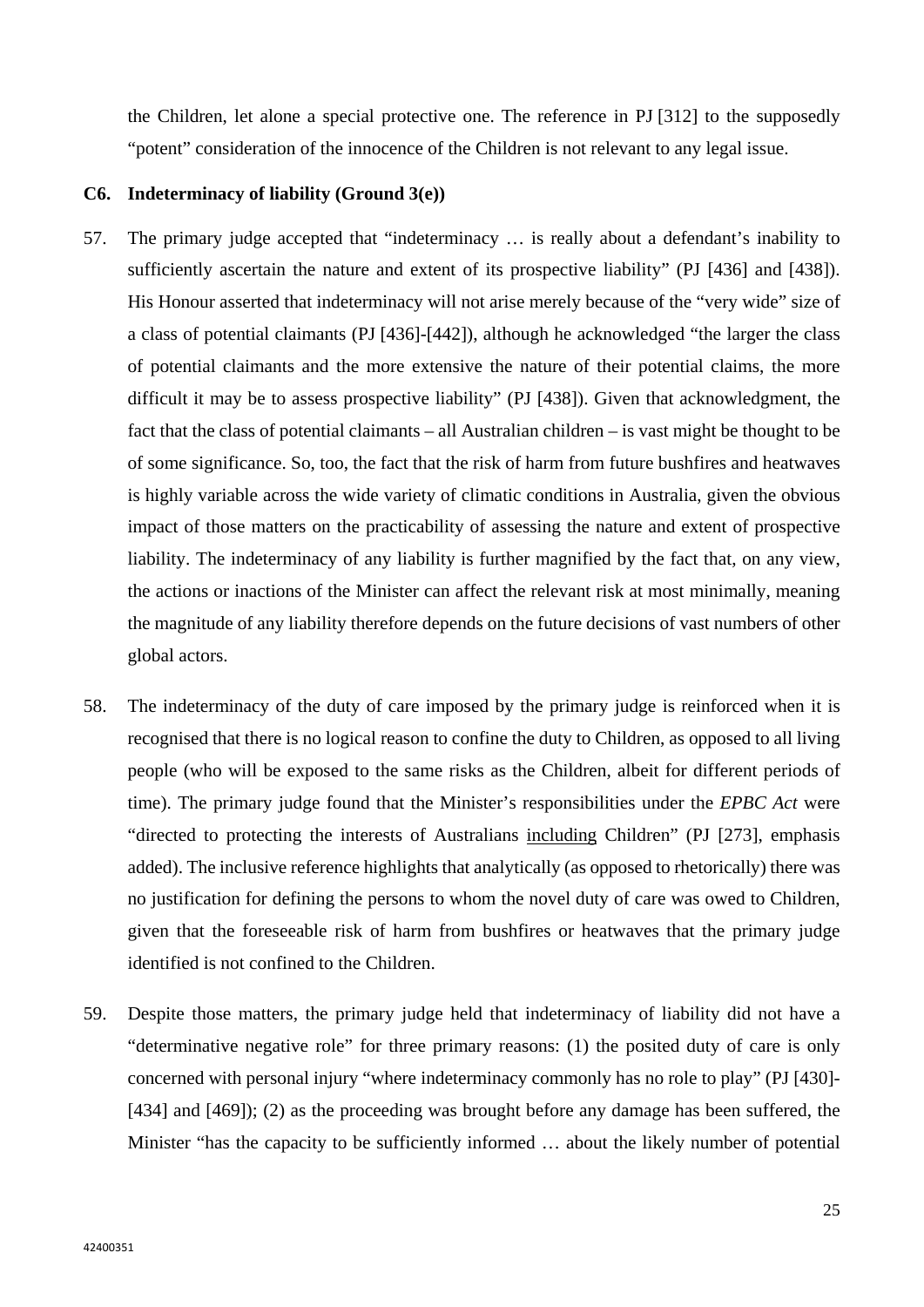the Children, let alone a special protective one. The reference in PJ [312] to the supposedly "potent" consideration of the innocence of the Children is not relevant to any legal issue.

### **C6. Indeterminacy of liability (Ground 3(e))**

- 57. The primary judge accepted that "indeterminacy … is really about a defendant's inability to sufficiently ascertain the nature and extent of its prospective liability" (PJ [436] and [438]). His Honour asserted that indeterminacy will not arise merely because of the "very wide" size of a class of potential claimants (PJ [436]-[442]), although he acknowledged "the larger the class of potential claimants and the more extensive the nature of their potential claims, the more difficult it may be to assess prospective liability" (PJ [438]). Given that acknowledgment, the fact that the class of potential claimants – all Australian children – is vast might be thought to be of some significance. So, too, the fact that the risk of harm from future bushfires and heatwaves is highly variable across the wide variety of climatic conditions in Australia, given the obvious impact of those matters on the practicability of assessing the nature and extent of prospective liability. The indeterminacy of any liability is further magnified by the fact that, on any view, the actions or inactions of the Minister can affect the relevant risk at most minimally, meaning the magnitude of any liability therefore depends on the future decisions of vast numbers of other global actors.
- 58. The indeterminacy of the duty of care imposed by the primary judge is reinforced when it is recognised that there is no logical reason to confine the duty to Children, as opposed to all living people (who will be exposed to the same risks as the Children, albeit for different periods of time). The primary judge found that the Minister's responsibilities under the *EPBC Act* were "directed to protecting the interests of Australians including Children" (PJ [273], emphasis added). The inclusive reference highlights that analytically (as opposed to rhetorically) there was no justification for defining the persons to whom the novel duty of care was owed to Children, given that the foreseeable risk of harm from bushfires or heatwaves that the primary judge identified is not confined to the Children.
- 59. Despite those matters, the primary judge held that indeterminacy of liability did not have a "determinative negative role" for three primary reasons: (1) the posited duty of care is only concerned with personal injury "where indeterminacy commonly has no role to play" (PJ [430]- [434] and [469]); (2) as the proceeding was brought before any damage has been suffered, the Minister "has the capacity to be sufficiently informed ... about the likely number of potential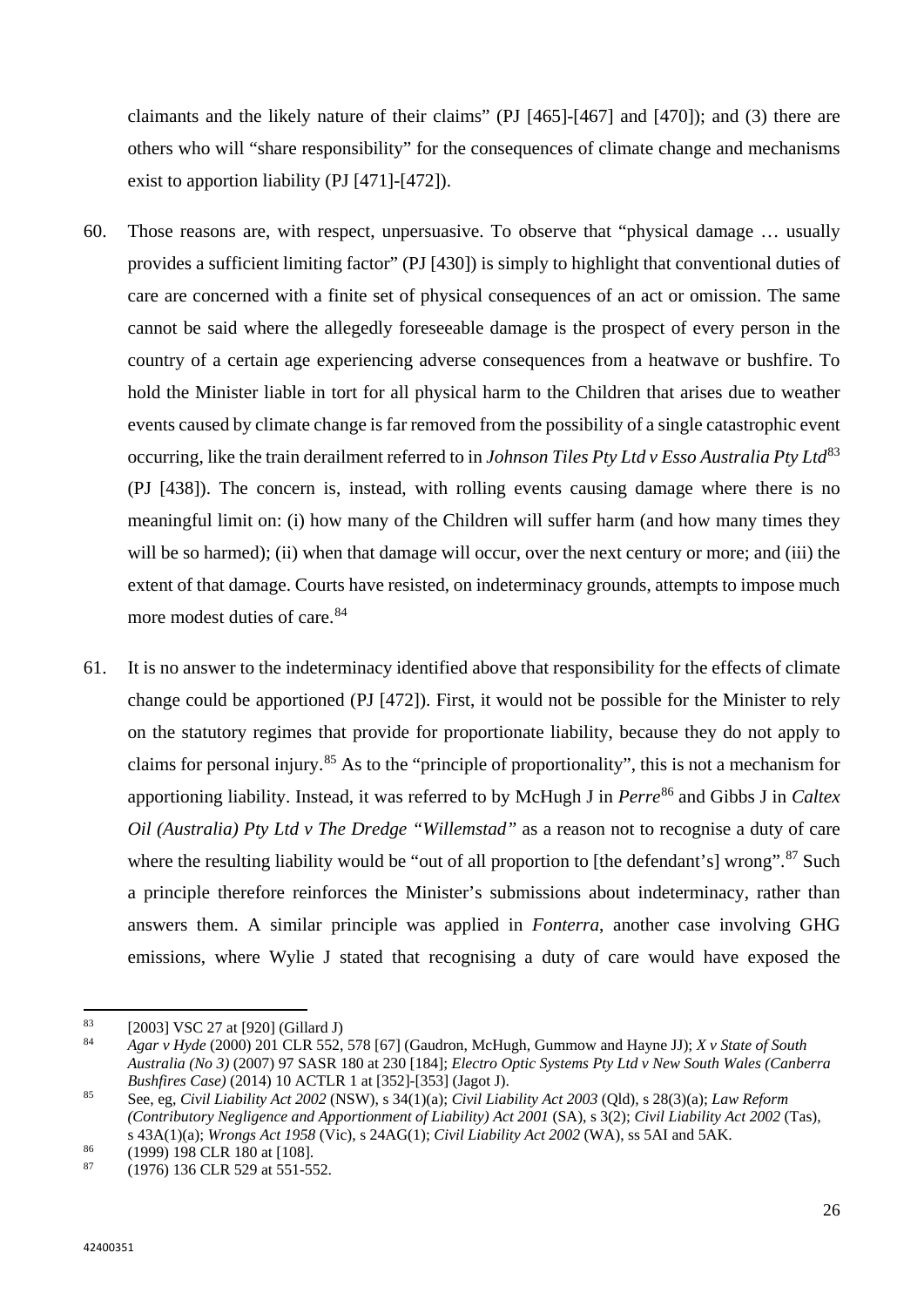claimants and the likely nature of their claims" (PJ [465]-[467] and [470]); and (3) there are others who will "share responsibility" for the consequences of climate change and mechanisms exist to apportion liability (PJ [471]-[472]).

- 60. Those reasons are, with respect, unpersuasive. To observe that "physical damage … usually provides a sufficient limiting factor" (PJ [430]) is simply to highlight that conventional duties of care are concerned with a finite set of physical consequences of an act or omission. The same cannot be said where the allegedly foreseeable damage is the prospect of every person in the country of a certain age experiencing adverse consequences from a heatwave or bushfire. To hold the Minister liable in tort for all physical harm to the Children that arises due to weather events caused by climate change is far removed from the possibility of a single catastrophic event occurring, like the train derailment referred to in *Johnson Tiles Pty Ltd v Esso Australia Pty Ltd*[83](#page-27-0) (PJ [438]). The concern is, instead, with rolling events causing damage where there is no meaningful limit on: (i) how many of the Children will suffer harm (and how many times they will be so harmed); (ii) when that damage will occur, over the next century or more; and (iii) the extent of that damage. Courts have resisted, on indeterminacy grounds, attempts to impose much more modest duties of care.<sup>[84](#page-27-1)</sup>
- 61. It is no answer to the indeterminacy identified above that responsibility for the effects of climate change could be apportioned (PJ [472]). First, it would not be possible for the Minister to rely on the statutory regimes that provide for proportionate liability, because they do not apply to claims for personal injury.[85](#page-27-2) As to the "principle of proportionality", this is not a mechanism for apportioning liability. Instead, it was referred to by McHugh J in *Perre*[86](#page-27-3) and Gibbs J in *Caltex Oil (Australia) Pty Ltd v The Dredge "Willemstad"* as a reason not to recognise a duty of care where the resulting liability would be "out of all proportion to [the defendant's] wrong".<sup>[87](#page-27-4)</sup> Such a principle therefore reinforces the Minister's submissions about indeterminacy, rather than answers them. A similar principle was applied in *Fonterra*, another case involving GHG emissions, where Wylie J stated that recognising a duty of care would have exposed the

l

<span id="page-27-0"></span><sup>&</sup>lt;sup>83</sup> [2003] VSC 27 at [920] (Gillard J)

<span id="page-27-1"></span><sup>84</sup> *Agar v Hyde* (2000) 201 CLR 552, 578 [67] (Gaudron, McHugh, Gummow and Hayne JJ); *X v State of South Australia (No 3)* (2007) 97 SASR 180 at 230 [184]; *Electro Optic Systems Pty Ltd v New South Wales (Canberra Bushfires Case)* (2014) 10 ACTLR 1 at [352]-[353] (Jagot J).

<span id="page-27-2"></span><sup>85</sup> See, eg, *Civil Liability Act 2002* (NSW), s 34(1)(a); *Civil Liability Act 2003* (Qld), s 28(3)(a); *Law Reform (Contributory Negligence and Apportionment of Liability) Act 2001* (SA), s 3(2); *Civil Liability Act 2002* (Tas), s 43A(1)(a); *Wrongs Act 1958* (Vic), s 24AG(1); *Civil Liability Act 2002* (WA), ss 5AI and 5AK.

<span id="page-27-3"></span> $\frac{86}{87}$  (1999) 198 CLR 180 at [108].

<span id="page-27-4"></span><sup>87</sup> (1976) 136 CLR 529 at 551-552.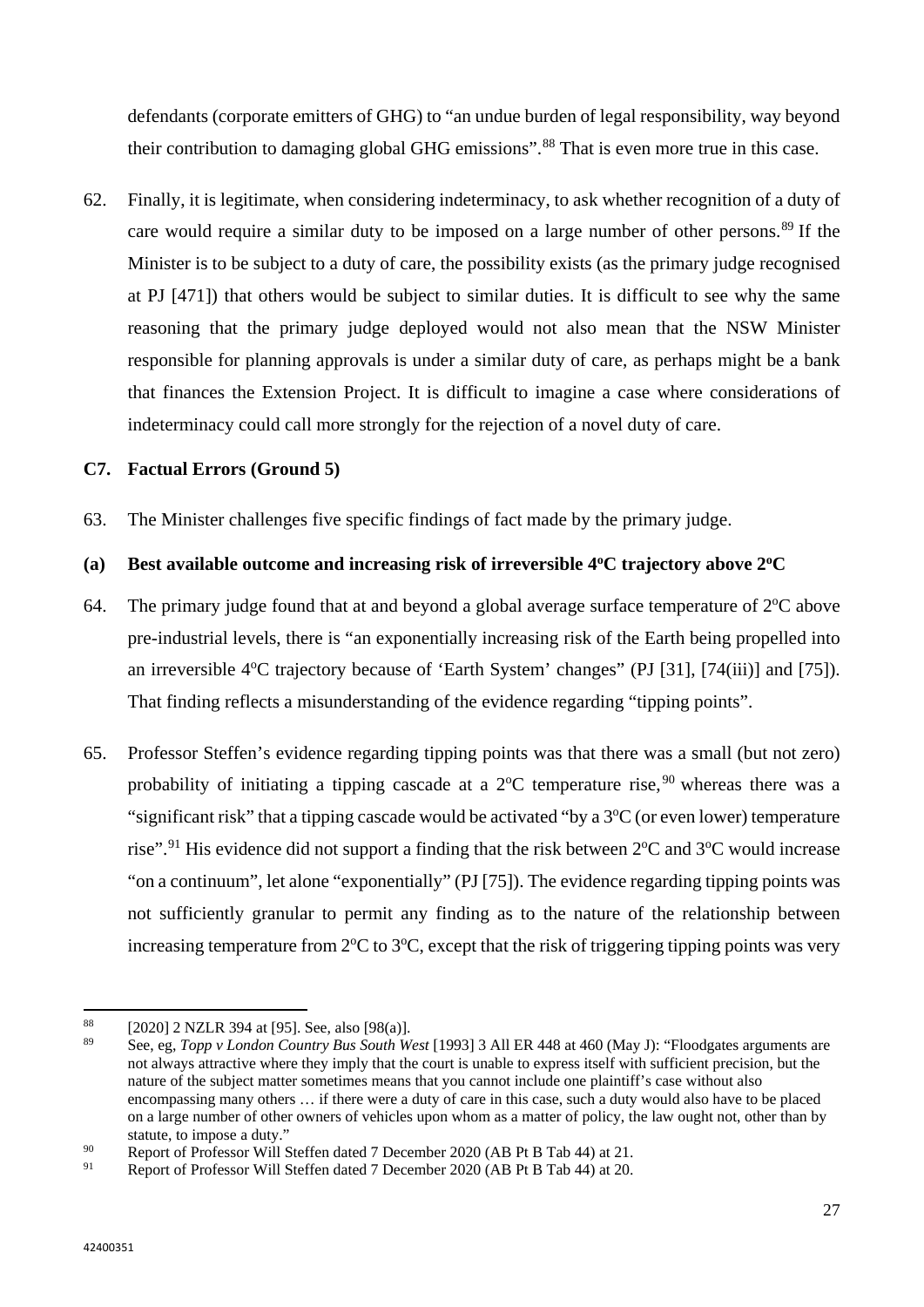defendants (corporate emitters of GHG) to "an undue burden of legal responsibility, way beyond their contribution to damaging global GHG emissions".<sup>[88](#page-28-0)</sup> That is even more true in this case.

62. Finally, it is legitimate, when considering indeterminacy, to ask whether recognition of a duty of care would require a similar duty to be imposed on a large number of other persons.<sup>[89](#page-28-1)</sup> If the Minister is to be subject to a duty of care, the possibility exists (as the primary judge recognised at PJ [471]) that others would be subject to similar duties. It is difficult to see why the same reasoning that the primary judge deployed would not also mean that the NSW Minister responsible for planning approvals is under a similar duty of care, as perhaps might be a bank that finances the Extension Project. It is difficult to imagine a case where considerations of indeterminacy could call more strongly for the rejection of a novel duty of care.

# **C7. Factual Errors (Ground 5)**

63. The Minister challenges five specific findings of fact made by the primary judge.

# (a) **Best available outcome and increasing risk of irreversible 4<sup>o</sup>C trajectory above 2<sup>o</sup>C**

- 64. The primary judge found that at and beyond a global average surface temperature of  $2^{\circ}C$  above pre-industrial levels, there is "an exponentially increasing risk of the Earth being propelled into an irreversible 4°C trajectory because of 'Earth System' changes" (PJ [31], [74(iii)] and [75]). That finding reflects a misunderstanding of the evidence regarding "tipping points".
- 65. Professor Steffen's evidence regarding tipping points was that there was a small (but not zero) probability of initiating a tipping cascade at a  $2^{\circ}$ C temperature rise,  $9^{\circ}$  whereas there was a "significant risk" that a tipping cascade would be activated "by a  $3^{\circ}$ C (or even lower) temperature rise".<sup>[91](#page-28-3)</sup> His evidence did not support a finding that the risk between  $2^{\circ}C$  and  $3^{\circ}C$  would increase "on a continuum", let alone "exponentially" (PJ [75]). The evidence regarding tipping points was not sufficiently granular to permit any finding as to the nature of the relationship between increasing temperature from  $2^{\circ}C$  to  $3^{\circ}C$ , except that the risk of triggering tipping points was very

l

<span id="page-28-0"></span><sup>&</sup>lt;sup>88</sup> [2020] 2 NZLR 394 at [95]. See, also [98(a)].

<span id="page-28-1"></span><sup>89</sup> See, eg, *Topp v London Country Bus South West* [1993] 3 All ER 448 at 460 (May J): "Floodgates arguments are not always attractive where they imply that the court is unable to express itself with sufficient precision, but the nature of the subject matter sometimes means that you cannot include one plaintiff's case without also encompassing many others … if there were a duty of care in this case, such a duty would also have to be placed on a large number of other owners of vehicles upon whom as a matter of policy, the law ought not, other than by statute, to impose a duty."

<span id="page-28-2"></span><sup>90</sup> Report of Professor Will Steffen dated 7 December 2020 (AB Pt B Tab 44) at 21.

<span id="page-28-3"></span>Report of Professor Will Steffen dated 7 December 2020 (AB Pt B Tab 44) at 20.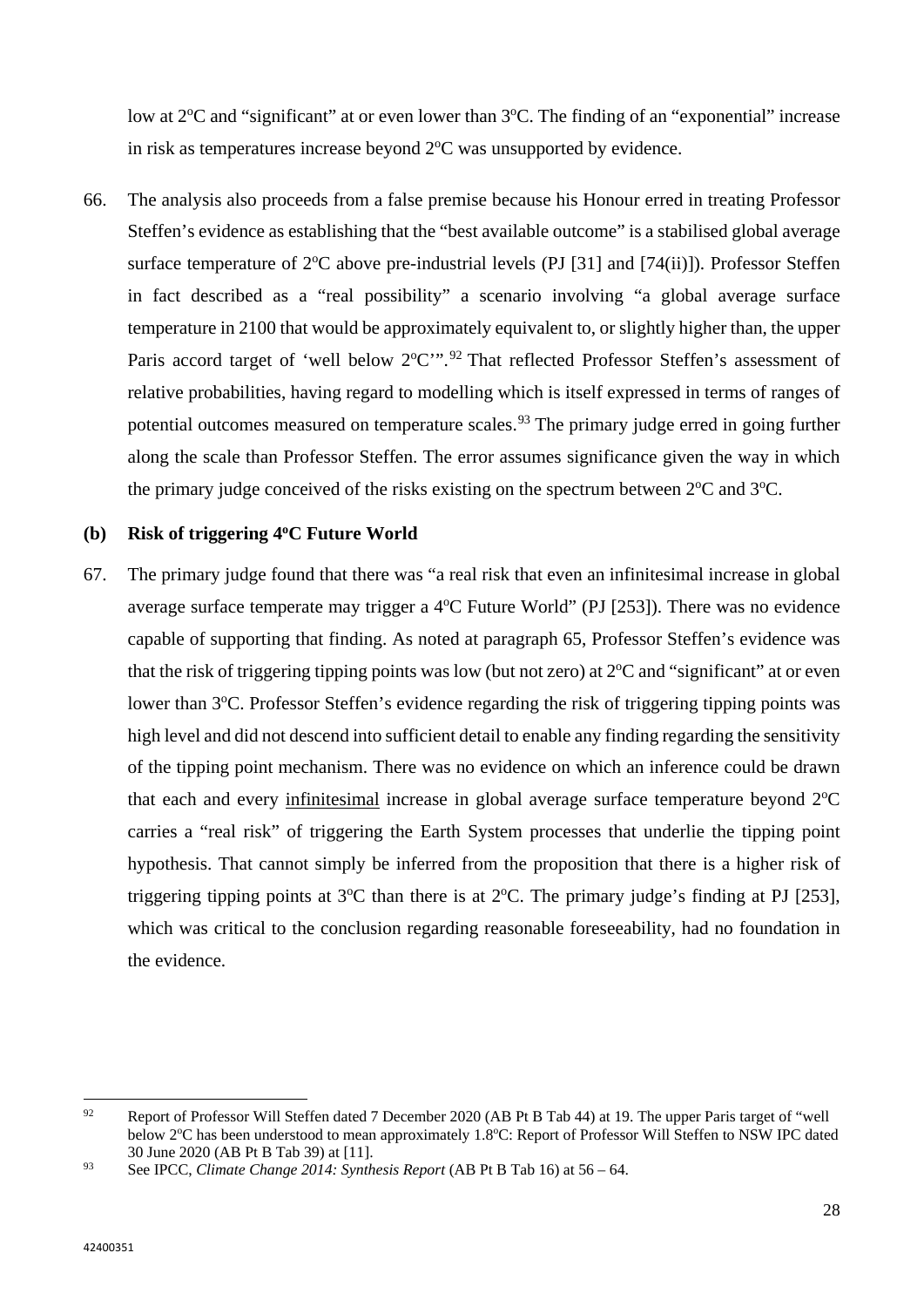low at 2<sup>o</sup>C and "significant" at or even lower than 3<sup>o</sup>C. The finding of an "exponential" increase in risk as temperatures increase beyond  $2^{\circ}$ C was unsupported by evidence.

66. The analysis also proceeds from a false premise because his Honour erred in treating Professor Steffen's evidence as establishing that the "best available outcome" is a stabilised global average surface temperature of  $2^{\circ}C$  above pre-industrial levels (PJ [31] and [74(ii)]). Professor Steffen in fact described as a "real possibility" a scenario involving "a global average surface temperature in 2100 that would be approximately equivalent to, or slightly higher than, the upper Paris accord target of 'well below  $2^{\circ}$ C'".<sup>[92](#page-29-0)</sup> That reflected Professor Steffen's assessment of relative probabilities, having regard to modelling which is itself expressed in terms of ranges of potential outcomes measured on temperature scales.<sup>[93](#page-29-1)</sup> The primary judge erred in going further along the scale than Professor Steffen. The error assumes significance given the way in which the primary judge conceived of the risks existing on the spectrum between  $2^{\circ}C$  and  $3^{\circ}C$ .

#### **(b) Risk of triggering 4oC Future World**

67. The primary judge found that there was "a real risk that even an infinitesimal increase in global average surface temperate may trigger a  $4^{\circ}$ C Future World" (PJ [253]). There was no evidence capable of supporting that finding. As noted at paragraph 65, Professor Steffen's evidence was that the risk of triggering tipping points was low (but not zero) at  $2^{\circ}C$  and "significant" at or even lower than 3°C. Professor Steffen's evidence regarding the risk of triggering tipping points was high level and did not descend into sufficient detail to enable any finding regarding the sensitivity of the tipping point mechanism. There was no evidence on which an inference could be drawn that each and every infinitesimal increase in global average surface temperature beyond 2°C carries a "real risk" of triggering the Earth System processes that underlie the tipping point hypothesis. That cannot simply be inferred from the proposition that there is a higher risk of triggering tipping points at  $3^{\circ}$ C than there is at  $2^{\circ}$ C. The primary judge's finding at PJ [253], which was critical to the conclusion regarding reasonable foreseeability, had no foundation in the evidence.

<span id="page-29-0"></span><sup>92</sup> <sup>92</sup> Report of Professor Will Steffen dated 7 December 2020 (AB Pt B Tab 44) at 19. The upper Paris target of "well below 2°C has been understood to mean approximately 1.8°C: Report of Professor Will Steffen to NSW IPC dated 30 June 2020 (AB Pt B Tab 39) at [11].

<span id="page-29-1"></span><sup>93</sup> See IPCC, *Climate Change 2014: Synthesis Report* (AB Pt B Tab 16) at 56 – 64.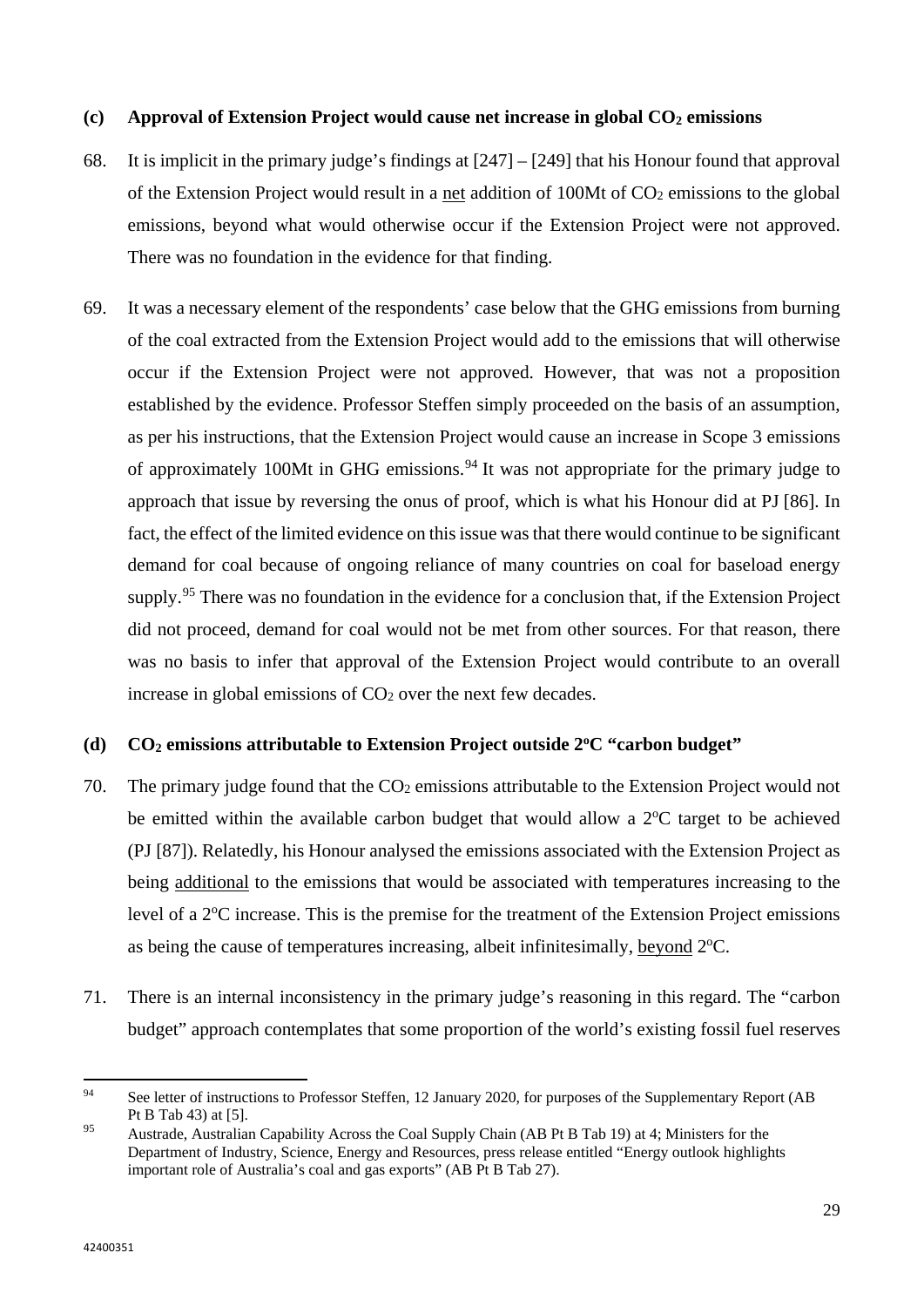#### **(c) Approval of Extension Project would cause net increase in global CO2 emissions**

- 68. It is implicit in the primary judge's findings at [247] [249] that his Honour found that approval of the Extension Project would result in a net addition of 100Mt of CO2 emissions to the global emissions, beyond what would otherwise occur if the Extension Project were not approved. There was no foundation in the evidence for that finding.
- 69. It was a necessary element of the respondents' case below that the GHG emissions from burning of the coal extracted from the Extension Project would add to the emissions that will otherwise occur if the Extension Project were not approved. However, that was not a proposition established by the evidence. Professor Steffen simply proceeded on the basis of an assumption, as per his instructions, that the Extension Project would cause an increase in Scope 3 emissions of approximately 100Mt in GHG emissions.<sup>[94](#page-30-0)</sup> It was not appropriate for the primary judge to approach that issue by reversing the onus of proof, which is what his Honour did at PJ [86]. In fact, the effect of the limited evidence on this issue was that there would continue to be significant demand for coal because of ongoing reliance of many countries on coal for baseload energy supply.<sup>[95](#page-30-1)</sup> There was no foundation in the evidence for a conclusion that, if the Extension Project did not proceed, demand for coal would not be met from other sources. For that reason, there was no basis to infer that approval of the Extension Project would contribute to an overall increase in global emissions of CO<sub>2</sub> over the next few decades.

## **(d) CO2 emissions attributable to Extension Project outside 2oC "carbon budget"**

- 70. The primary judge found that the  $CO<sub>2</sub>$  emissions attributable to the Extension Project would not be emitted within the available carbon budget that would allow a  $2^{\circ}C$  target to be achieved (PJ [87]). Relatedly, his Honour analysed the emissions associated with the Extension Project as being additional to the emissions that would be associated with temperatures increasing to the level of a 2<sup>o</sup>C increase. This is the premise for the treatment of the Extension Project emissions as being the cause of temperatures increasing, albeit infinitesimally, beyond <sup>2°</sup>C.
- 71. There is an internal inconsistency in the primary judge's reasoning in this regard. The "carbon budget" approach contemplates that some proportion of the world's existing fossil fuel reserves

<span id="page-30-0"></span> $Q_{A}$ See letter of instructions to Professor Steffen, 12 January 2020, for purposes of the Supplementary Report (AB Pt B Tab 43) at [5].

<span id="page-30-1"></span><sup>95</sup> Austrade, Australian Capability Across the Coal Supply Chain (AB Pt B Tab 19) at 4; Ministers for the Department of Industry, Science, Energy and Resources, press release entitled "Energy outlook highlights important role of Australia's coal and gas exports" (AB Pt B Tab 27).